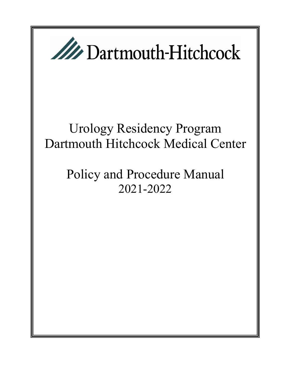

# Urology Residency Program Dartmouth Hitchcock Medical Center

# Policy and Procedure Manual 2021-2022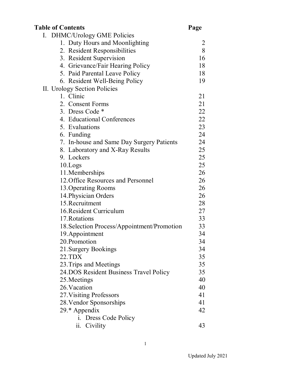| <b>Table of Contents</b>                    | Page |
|---------------------------------------------|------|
| I. DHMC/Urology GME Policies                |      |
| 1. Duty Hours and Moonlighting              | 2    |
| 2. Resident Responsibilities                | 8    |
| 3. Resident Supervision                     | 16   |
| 4. Grievance/Fair Hearing Policy            | 18   |
| 5. Paid Parental Leave Policy               | 18   |
| 6. Resident Well-Being Policy               | 19   |
| II. Urology Section Policies                |      |
| 1. Clinic                                   | 21   |
| 2. Consent Forms                            | 21   |
| 3. Dress Code *                             | 22   |
| 4. Educational Conferences                  | 22   |
| 5. Evaluations                              | 23   |
| 6. Funding                                  | 24   |
| 7. In-house and Same Day Surgery Patients   | 24   |
| 8. Laboratory and X-Ray Results             | 25   |
| 9. Lockers                                  | 25   |
| 10.Logs                                     | 25   |
| 11. Memberships                             | 26   |
| 12. Office Resources and Personnel          | 26   |
| 13. Operating Rooms                         | 26   |
| 14. Physician Orders                        | 26   |
| 15. Recruitment                             | 28   |
| 16. Resident Curriculum                     | 27   |
| 17. Rotations                               | 33   |
| 18. Selection Process/Appointment/Promotion | 33   |
| 19. Appointment                             | 34   |
| 20. Promotion                               | 34   |
| 21. Surgery Bookings                        | 34   |
| 22.TDX                                      | 35   |
| 23. Trips and Meetings                      | 35   |
| 24. DOS Resident Business Travel Policy     | 35   |
| 25. Meetings                                | 40   |
| 26. Vacation                                | 40   |
| 27. Visiting Professors                     | 41   |
| 28. Vendor Sponsorships                     | 41   |
| 29.* Appendix                               | 42   |
| i. Dress Code Policy                        |      |
| Civility<br>$\ddot{\mathbf{11}}$ .          | 43   |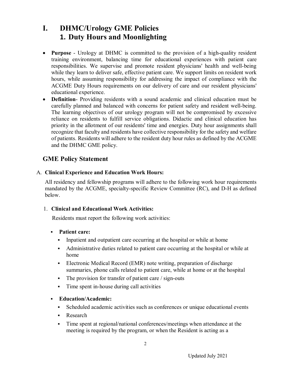# **I. DHMC/Urology GME Policies 1. Duty Hours and Moonlighting**

- **Purpose** Urology at DHMC is committed to the provision of a high-quality resident training environment, balancing time for educational experiences with patient care responsibilities. We supervise and promote resident physicians' health and well-being while they learn to deliver safe, effective patient care. We support limits on resident work hours, while assuming responsibility for addressing the impact of compliance with the ACGME Duty Hours requirements on our delivery of care and our resident physicians' educational experience.
- **Definition** Providing residents with a sound academic and clinical education must be carefully planned and balanced with concerns for patient safety and resident well-being. The learning objectives of our urology program will not be compromised by excessive reliance on residents to fulfill service obligations. Didactic and clinical education has priority in the allotment of our residents' time and energies. Duty hour assignments shall recognize that faculty and residents have collective responsibility for the safety and welfare of patients. Residents will adhere to the resident duty hour rules as defined by the ACGME and the DHMC GME policy.

### **GME Policy Statement**

#### A. **Clinical Experience and Education Work Hours:**

All residency and fellowship programs will adhere to the following work hour requirements mandated by the ACGME, specialty-specific Review Committee (RC), and D-H as defined below.

#### 1. **Clinical and Educational Work Activities:**

Residents must report the following work activities:

#### **Patient care:**

- Inpatient and outpatient care occurring at the hospital or while at home
- Administrative duties related to patient care occurring at the hospital or while at home
- Electronic Medical Record (EMR) note writing, preparation of discharge summaries, phone calls related to patient care, while at home or at the hospital
- The provision for transfer of patient care / sign-outs
- Time spent in-house during call activities

#### **Education/Academic:**

- Scheduled academic activities such as conferences or unique educational events
- Research
- Time spent at regional/national conferences/meetings when attendance at the meeting is required by the program, or when the Resident is acting as a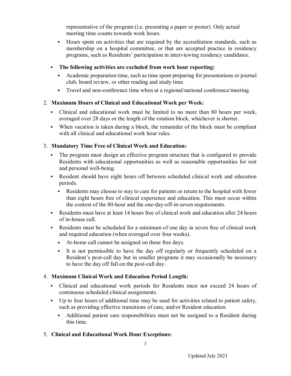representative of the program (i.e. presenting a paper or poster). Only actual meeting time counts towards work hours.

- Hours spent on activities that are required by the accreditation standards, such as membership on a hospital committee, or that are accepted practice in residency programs, such as Residents' participation in interviewing residency candidates.
- **The following activities are excluded from work hour reporting:**
	- Academic preparation time, such as time spent preparing for presentations or journal club, board review, or other reading and study time.
	- Travel and non-conference time when at a regional/national conference/meeting.

#### 2. **Maximum Hours of Clinical and Educational Work per Week:**

- Clinical and educational work must be limited to no more than 80 hours per week, averaged over 28 days or the length of the rotation block, whichever is shorter.
- When vacation is taken during a block, the remainder of the block must be compliant with all clinical and educational work hour rules.

#### 3. **Mandatory Time Free of Clinical Work and Education:**

- The program must design an effective program structure that is configured to provide Residents with educational opportunities as well as reasonable opportunities for rest and personal well-being.
- Resident should have eight hours off between scheduled clinical work and education periods.
	- Residents may choose to stay to care for patients or return to the hospital with fewer than eight hours free of clinical experience and education. This must occur within the context of the 80-hour and the one-day-off-in-seven requirements.
- Residents must have at least 14 hours free of clinical work and education after 24 hours of in-house call.
- Residents must be scheduled for a minimum of one day in seven free of clinical work and required education (when averaged over four weeks).
	- At-home call cannot be assigned on these free days.
	- It is not permissible to have the day off regularly or frequently scheduled on a Resident's post-call day but in smaller programs it may occasionally be necessary to have the day off fall on the post-call day.

#### 4. **Maximum Clinical Work and Education Period Length:**

- Clinical and educational work periods for Residents must not exceed 24 hours of continuous scheduled clinical assignments.
- Up to four hours of additional time may be used for activities related to patient safety, such as providing effective transitions of care, and/or Resident education.
	- Additional patient care responsibilities must not be assigned to a Resident during this time.
- 5. **Clinical and Educational Work Hour Exceptions:**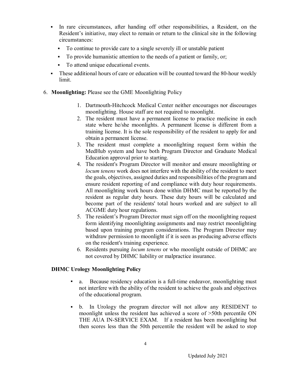- In rare circumstances, after handing off other responsibilities, a Resident, on the Resident's initiative, may elect to remain or return to the clinical site in the following circumstances:
	- To continue to provide care to a single severely ill or unstable patient
	- To provide humanistic attention to the needs of a patient or family, or;
	- To attend unique educational events.
- These additional hours of care or education will be counted toward the 80-hour weekly limit.
- 6. **Moonlighting:** Please see the GME Moonlighting Policy
	- 1. Dartmouth-Hitchcock Medical Center neither encourages nor discourages moonlighting. House staff are not required to moonlight.
	- 2. The resident must have a permanent license to practice medicine in each state where he/she moonlights. A permanent license is different from a training license. It is the sole responsibility of the resident to apply for and obtain a permanent license.
	- 3. The resident must complete a moonlighting request form within the MedHub system and have both Program Director and Graduate Medical Education approval prior to starting.
	- 4. The resident's Program Director will monitor and ensure moonlighting or *locum tenens* work does not interfere with the ability of the resident to meet the goals, objectives, assigned duties and responsibilities of the program and ensure resident reporting of and compliance with duty hour requirements. All moonlighting work hours done within DHMC must be reported by the resident as regular duty hours. These duty hours will be calculated and become part of the residents' total hours worked and are subject to all ACGME duty hour regulations.
	- 5. The resident's Program Director must sign off on the moonlighting request form identifying moonlighting assignments and may restrict moonlighting based upon training program considerations. The Program Director may withdraw permission to moonlight if it is seen as producing adverse effects on the resident's training experience.
	- 6. Residents pursuing *locum tenens* or who moonlight outside of DHMC are not covered by DHMC liability or malpractice insurance.

#### **DHMC Urology Moonlighting Policy**

- a. Because residency education is a full-time endeavor, moonlighting must not interfere with the ability of the resident to achieve the goals and objectives of the educational program.
- b. In Urology the program director will not allow any RESIDENT to moonlight unless the resident has achieved a score of >50th percentile ON THE AUA IN-SERVICE EXAM. If a resident has been moonlighting but then scores less than the 50th percentile the resident will be asked to stop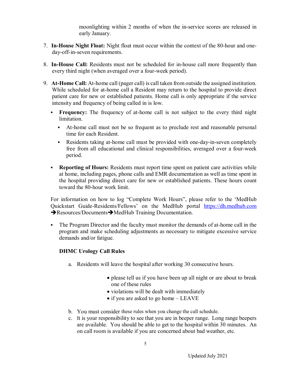moonlighting within 2 months of when the in-service scores are released in early January.

- 7. **In-House Night Float:** Night float must occur within the context of the 80-hour and oneday-off-in-seven requirements.
- 8. **In-House Call:** Residents must not be scheduled for in-house call more frequently than every third night (when averaged over a four-week period).
- 9. **At-Home Call:** At-home call (pager call) is call taken from outside the assigned institution. While scheduled for at-home call a Resident may return to the hospital to provide direct patient care for new or established patients. Home call is only appropriate if the service intensity and frequency of being called in is low.
	- **Frequency:** The frequency of at-home call is not subject to the every third night limitation.
		- At-home call must not be so frequent as to preclude rest and reasonable personal time for each Resident.
		- Residents taking at-home call must be provided with one-day-in-seven completely free from all educational and clinical responsibilities, averaged over a four-week period.
	- **Reporting of Hours:** Residents must report time spent on patient care activities while at home, including pages, phone calls and EMR documentation as well as time spent in the hospital providing direct care for new or established patients. These hours count toward the 80-hour work limit.

For information on how to log "Complete Work Hours", please refer to the 'MedHub Quickstart Guide-Residents/Fellows' on the MedHub portal https://dh.medhub.com  $\rightarrow$  Resources/Documents $\rightarrow$  MedHub Training Documentation.

 The Program Director and the faculty must monitor the demands of at-home call in the program and make scheduling adjustments as necessary to mitigate excessive service demands and/or fatigue.

#### **DHMC Urology Call Rules**

- a. Residents will leave the hospital after working 30 consecutive hours.
	- please tell us if you have been up all night or are about to break one of these rules
	- violations will be dealt with immediately
	- if you are asked to go home LEAVE
- b. You must consider these rules when you change the call schedule.
- c. It is your responsibility to see that you are in beeper range. Long range beepers are available. You should be able to get to the hospital within 30 minutes. An on call room is available if you are concerned about bad weather, etc.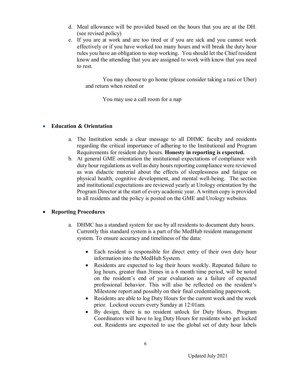- d. Meal allowance will be provided based on the hours that you are at the DH. (see revised policy)
- e. If you are at work and are too tired or if you are sick and you cannot work effectively or if you have worked too many hours and will break the duty hour rules you have an obligation to stop working. You should let the Chief resident know and the attending that you are assigned to work with know that you need to rest.

You may choose to go home (please consider taking a taxi or Uber) and return when rested or

You may use a call room for a nap

#### **Education & Orientation**

- a. The Institution sends a clear message to all DHMC faculty and residents regarding the critical importance of adhering to the Institutional and Program Requirements for resident duty hours. **Honesty in reporting is expected.**
- b. At general GME orientation the institutional expectations of compliance with duty hour regulations as well as duty hours reporting compliance were reviewed as was didactic material about the effects of sleeplessness and fatigue on physical health, cognitive development, and mental well-being. The section and institutional expectations are reviewed yearly at Urology orientation by the Program Director at the start of every academic year. A written copy is provided to all residents and the policy is posted on the GME and Urology websites.

#### **Reporting Procedures**

- a. DHMC has a standard system for use by all residents to document duty hours. Currently this standard system is a part of the MedHub resident management system. To ensure accuracy and timeliness of the data:
	- Each resident is responsible for direct entry of their own duty hour information into the MedHub System.
	- Residents are expected to log their hours weekly. Repeated failure to log hours, greater than 3times in a 6 month time period, will be noted on the resident's end of year evaluation as a failure of expected professional behavior. This will also be reflected on the resident's Milestone report and possibly on their final credentialing paperwork.
	- Residents are able to log Duty Hours for the current week and the week prior. Lockout occurs every Sunday at 12:01am.
	- By design, there is no resident unlock for Duty Hours. Program Coordinators will have to log Duty Hours for residents who get locked out. Residents are expected to use the global set of duty hour labels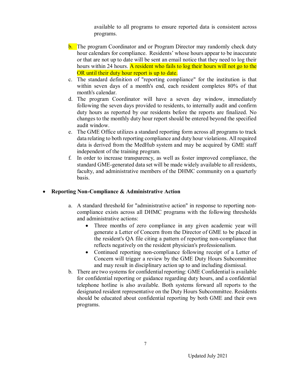available to all programs to ensure reported data is consistent across programs.

- **b.** The program Coordinator and or Program Director may randomly check duty hour calendars for compliance. Residents' whose hours appear to be inaccurate or that are not up to date will be sent an email notice that they need to log their hours within 24 hours. A resident who fails to log their hours will not go to the OR until their duty hour report is up to date.
- c. The standard definition of "reporting compliance" for the institution is that within seven days of a month's end, each resident completes 80% of that month's calendar.
- d. The program Coordinator will have a seven day window, immediately following the seven days provided to residents, to internally audit and confirm duty hours as reported by our residents before the reports are finalized. No changes to the monthly duty hour report should be entered beyond the specified audit window.
- e. The GME Office utilizes a standard reporting form across all programs to track data relating to both reporting compliance and duty hour violations. All required data is derived from the MedHub system and may be acquired by GME staff independent of the training program.
- f. In order to increase transparency, as well as foster improved compliance, the standard GME-generated data set will be made widely available to all residents, faculty, and administrative members of the DHMC community on a quarterly basis.

#### **Reporting Non-Compliance & Administrative Action**

- a. A standard threshold for "administrative action" in response to reporting noncompliance exists across all DHMC programs with the following thresholds and administrative actions:
	- Three months of zero compliance in any given academic year will generate a Letter of Concern from the Director of GME to be placed in the resident's QA file citing a pattern of reporting non-compliance that reflects negatively on the resident physician's professionalism.
	- Continued reporting non-compliance following receipt of a Letter of Concern will trigger a review by the GME Duty Hours Subcommittee and may result in disciplinary action up to and including dismissal.
- b. There are two systems for confidential reporting: GME Confidential is available for confidential reporting or guidance regarding duty hours, and a confidential telephone hotline is also available. Both systems forward all reports to the designated resident representative on the Duty Hours Subcommittee. Residents should be educated about confidential reporting by both GME and their own programs.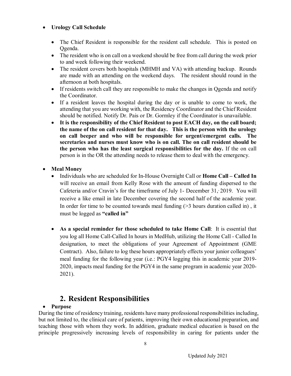#### **Urology Call Schedule**

- The Chief Resident is responsible for the resident call schedule. This is posted on Qgenda.
- The resident who is on call on a weekend should be free from call during the week prior to and week following their weekend.
- The resident covers both hospitals (MHMH and VA) with attending backup. Rounds are made with an attending on the weekend days. The resident should round in the afternoon at both hospitals.
- If residents switch call they are responsible to make the changes in Qgenda and notify the Coordinator.
- If a resident leaves the hospital during the day or is unable to come to work, the attending that you are working with, the Residency Coordinator and the Chief Resident should be notified. Notify Dr. Pais or Dr. Gormley if the Coordinator is unavailable.
- **It is the responsibility of the Chief Resident to post EACH day, on the call board; the name of the on call resident for that day. This is the person with the urology on call beeper and who will be responsible for urgent/emergent calls. The secretaries and nurses must know who is on call. The on call resident should be the person who has the least surgical responsibilities for the day.** If the on call person is in the OR the attending needs to release them to deal with the emergency.
- **Meal Money**
	- Individuals who are scheduled for In-House Overnight Call or **Home Call – Called In** will receive an email from Kelly Rose with the amount of funding dispersed to the Cafeteria and/or Cravin's for the timeframe of July 1- December  $31, 2019$ . You will receive a like email in late December covering the second half of the academic year. In order for time to be counted towards meal funding  $($ >3 hours duration called in), it must be logged as **"called in"**
	- **As a special reminder for those scheduled to take Home Call**: It is essential that you log all Home Call-Called In hours in MedHub, utilizing the Home Call - Called In designation, to meet the obligations of your Agreement of Appointment (GME Contract). Also, failure to log these hours appropriately effects your junior colleagues' meal funding for the following year (i.e.: PGY4 logging this in academic year 2019- 2020, impacts meal funding for the PGY4 in the same program in academic year 2020- 2021).

# **2. Resident Responsibilities**

#### **Purpose**

During the time of residency training, residents have many professional responsibilities including, but not limited to, the clinical care of patients, improving their own educational preparation, and teaching those with whom they work. In addition, graduate medical education is based on the principle progressively increasing levels of responsibility in caring for patients under the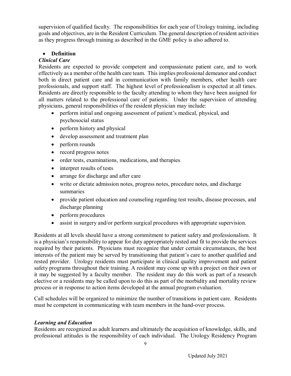supervision of qualified faculty. The responsibilities for each year of Urology training, including goals and objectives, are in the Resident Curriculum. The general description of resident activities as they progress through training as described in the GME policy is also adhered to.

#### **Definition**

#### *Clinical Care*

Residents are expected to provide competent and compassionate patient care, and to work effectively as a member of the health care team. This implies professional demeanor and conduct both in direct patient care and in communication with family members, other health care professionals, and support staff. The highest level of professionalism is expected at all times. Residents are directly responsible to the faculty attending to whom they have been assigned for all matters related to the professional care of patients. Under the supervision of attending physicians, general responsibilities of the resident physician may include:

- perform initial and ongoing assessment of patient's medical, physical, and psychosocial status
- perform history and physical
- develop assessment and treatment plan
- perform rounds
- record progress notes
- order tests, examinations, medications, and therapies
- interpret results of tests
- arrange for discharge and after care
- write or dictate admission notes, progress notes, procedure notes, and discharge summaries
- provide patient education and counseling regarding test results, disease processes, and discharge planning
- perform procedures
- assist in surgery and/or perform surgical procedures with appropriate supervision.

Residents at all levels should have a strong commitment to patient safety and professionalism. It is a physician's responsibility to appear for duty appropriately rested and fit to provide the services required by their patients. Physicians must recognize that under certain circumstances, the best interests of the patient may be served by transitioning that patient's care to another qualified and rested provider. Urology residents must participate in clinical quality improvement and patient safety programs throughout their training. A resident may come up with a project on their own or it may be suggested by a faculty member. The resident may do this work as part of a research elective or a residents may be called upon to do this as part of the morbidity and mortality review process or in response to action items developed at the annual program evaluation.

Call schedules will be organized to minimize the number of transitions in patient care. Residents must be competent in communicating with team members in the hand-over process.

#### *Learning and Education*

Residents are recognized as adult learners and ultimately the acquisition of knowledge, skills, and professional attitudes is the responsibility of each individual. The Urology Residency Program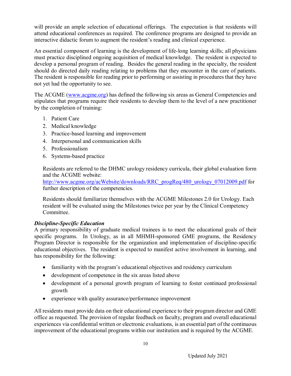will provide an ample selection of educational offerings. The expectation is that residents will attend educational conferences as required. The conference programs are designed to provide an interactive didactic forum to augment the resident's reading and clinical experience.

An essential component of learning is the development of life-long learning skills; all physicians must practice disciplined ongoing acquisition of medical knowledge. The resident is expected to develop a personal program of reading. Besides the general reading in the specialty, the resident should do directed daily reading relating to problems that they encounter in the care of patients. The resident is responsible for reading prior to performing or assisting in procedures that they have not yet had the opportunity to see.

The ACGME (www.acgme.org) has defined the following six areas as General Competencies and stipulates that programs require their residents to develop them to the level of a new practitioner by the completion of training:

- 1. Patient Care
- 2. Medical knowledge
- 3. Practice-based learning and improvement
- 4. Interpersonal and communication skills
- 5. Professionalism
- 6. Systems-based practice

Residents are referred to the DHMC urology residency curricula, their global evaluation form and the ACGME website:

http://www.acgme.org/acWebsite/downloads/RRC\_progReq/480\_urology\_07012009.pdf for further description of the competencies.

Residents should familiarize themselves with the ACGME Milestones 2.0 for Urology. Each resident will be evaluated using the Milestones twice per year by the Clinical Competency Committee.

#### *Discipline-Specific Education*

A primary responsibility of graduate medical trainees is to meet the educational goals of their specific programs. In Urology, as in all MHMH-sponsored GME programs, the Residency Program Director is responsible for the organization and implementation of discipline-specific educational objectives. The resident is expected to manifest active involvement in learning, and has responsibility for the following:

- familiarity with the program's educational objectives and residency curriculum
- development of competence in the six areas listed above
- development of a personal growth program of learning to foster continued professional growth
- experience with quality assurance/performance improvement

All residents must provide data on their educational experience to their program director and GME office as requested. The provision of regular feedback on faculty, program and overall educational experiences via confidential written or electronic evaluations, is an essential part of the continuous improvement of the educational programs within our institution and is required by the ACGME.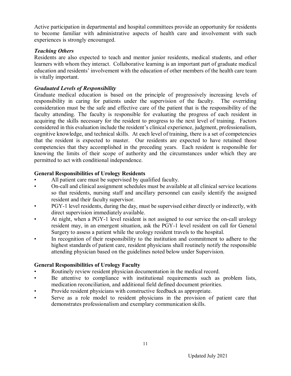Active participation in departmental and hospital committees provide an opportunity for residents to become familiar with administrative aspects of health care and involvement with such experiences is strongly encouraged.

#### *Teaching Others*

Residents are also expected to teach and mentor junior residents, medical students, and other learners with whom they interact. Collaborative learning is an important part of graduate medical education and residents' involvement with the education of other members of the health care team is vitally important.

#### *Graduated Levels of Responsibility*

Graduate medical education is based on the principle of progressively increasing levels of responsibility in caring for patients under the supervision of the faculty. The overriding consideration must be the safe and effective care of the patient that is the responsibility of the faculty attending. The faculty is responsible for evaluating the progress of each resident in acquiring the skills necessary for the resident to progress to the next level of training. Factors considered in this evaluation include the resident's clinical experience, judgment, professionalism, cognitive knowledge, and technical skills. At each level of training, there is a set of competencies that the resident is expected to master. Our residents are expected to have retained those competencies that they accomplished in the preceding years. Each resident is responsible for knowing the limits of their scope of authority and the circumstances under which they are permitted to act with conditional independence.

#### **General Responsibilities of Urology Residents**

- All patient care must be supervised by qualified faculty.
- On-call and clinical assignment schedules must be available at all clinical service locations so that residents, nursing staff and ancillary personnel can easily identify the assigned resident and their faculty supervisor.
- PGY-1 level residents, during the day, must be supervised either directly or indirectly, with direct supervision immediately available.
- At night, when a PGY-1 level resident is not assigned to our service the on-call urology resident may, in an emergent situation, ask the PGY-1 level resident on call for General Surgery to assess a patient while the urology resident travels to the hospital.
- In recognition of their responsibility to the institution and commitment to adhere to the highest standards of patient care, resident physicians shall routinely notify the responsible attending physician based on the guidelines noted below under Supervision.

#### **General Responsibilities of Urology Faculty**

- Routinely review resident physician documentation in the medical record.
- Be attentive to compliance with institutional requirements such as problem lists, medication reconciliation, and additional field defined document priorities.
- Provide resident physicians with constructive feedback as appropriate.
- Serve as a role model to resident physicians in the provision of patient care that demonstrates professionalism and exemplary communication skills.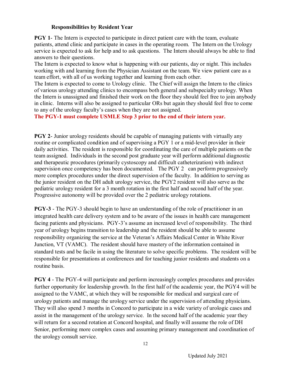#### **Responsibilities by Resident Year**

**PGY 1**- The Intern is expected to participate in direct patient care with the team, evaluate patients, attend clinic and participate in cases in the operating room. The Intern on the Urology service is expected to ask for help and to ask questions. The Intern should always be able to find answers to their questions.

The Intern is expected to know what is happening with our patients, day or night. This includes working with and learning from the Physician Assistant on the team. We view patient care as a team effort, with all of us working together and learning from each other.

The Intern is expected to come to Urology clinic. The Chief will assign the Intern to the clinics of various urology attending clinics to encompass both general and subspecialty urology. When the Intern is unassigned and finished their work on the floor they should feel free to join anybody in clinic. Interns will also be assigned to particular ORs but again they should feel free to come to any of the urology faculty's cases when they are not assigned.

**The PGY-1 must complete USMLE Step 3 prior to the end of their intern year.**

**PGY 2-** Junior urology residents should be capable of managing patients with virtually any routine or complicated condition and of supervising a PGY 1 or a mid-level provider in their daily activities. The resident is responsible for coordinating the care of multiple patients on the team assigned. Individuals in the second post graduate year will perform additional diagnostic and therapeutic procedures (primarily cystoscopy and difficult catheterization) with indirect supervision once competency has been documented. The PGY 2 can perform progressively more complex procedures under the direct supervision of the faculty. In addition to serving as the junior resident on the DH adult urology service, the PGY2 resident will also serve as the pediatric urology resident for a 3 month rotation in the first half and second half of the year. Progressive autonomy will be provided over the 2 pediatric urology rotations.

**PGY-3** - The PGY-3 should begin to have an understanding of the role of practitioner in an integrated health care delivery system and to be aware of the issues in health care management facing patients and physicians. PGY-3's assume an increased level of responsibility. The third year of urology begins transition to leadership and the resident should be able to assume responsibility organizing the service at the Veteran's Affairs Medical Center in White River Junction, VT (VAMC). The resident should have mastery of the information contained in standard tests and be facile in using the literature to solve specific problems. The resident will be responsible for presentations at conferences and for teaching junior residents and students on a routine basis.

**PGY 4** - The PGY-4 will participate and perform increasingly complex procedures and provides further opportunity for leadership growth. In the first half of the academic year, the PGY4 will be assigned to the VAMC, at which they will be responsible for medical and surgical care of urology patients and manage the urology service under the supervision of attending physicians. They will also spend 3 months in Concord to participate in a wide variety of urologic cases and assist in the management of the urology service. In the second half of the academic year they will return for a second rotation at Concord hospital, and finally will assume the role of DH Senior, performing more complex cases and assuming primary management and coordination of the urology consult service.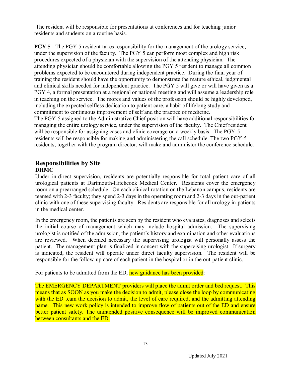The resident will be responsible for presentations at conferences and for teaching junior residents and students on a routine basis.

**PGY 5** - The PGY 5 resident takes responsibility for the management of the urology service, under the supervision of the faculty. The PGY 5 can perform most complex and high risk procedures expected of a physician with the supervision of the attending physician. The attending physician should be comfortable allowing the PGY 5 resident to manage all common problems expected to be encountered during independent practice. During the final year of training the resident should have the opportunity to demonstrate the mature ethical, judgmental and clinical skills needed for independent practice. The PGY 5 will give or will have given as a PGY 4, a formal presentation at a regional or national meeting and will assume a leadership role in teaching on the service. The mores and values of the profession should be highly developed, including the expected selfless dedication to patient care, a habit of lifelong study and commitment to continuous improvement of self and the practice of medicine. The PGY-5 assigned to the Administrative Chief position will have additional responsibilities for managing the entire urology service, under the supervision of the faculty. The Chief resident will be responsible for assigning cases and clinic coverage on a weekly basis. The PGY-5 residents will be responsible for making and administering the call schedule. The two PGY-5 residents, together with the program director, will make and administer the conference schedule.

#### **Responsibilities by Site DHMC**

Under in-direct supervision, residents are potentially responsible for total patient care of all urological patients at Dartmouth-Hitchcock Medical Center. Residents cover the emergency room on a prearranged schedule. On each clinical rotation on the Lebanon campus, residents are teamed with 2-3 faculty; they spend 2-3 days in the operating room and 2-3 days in the out-patient clinic with one of these supervising faculty. Residents are responsible for all urology in-patients in the medical center.

In the emergency room, the patients are seen by the resident who evaluates, diagnoses and selects the initial course of management which may include hospital admission. The supervising urologist is notified of the admission, the patient's history and examination and other evaluations are reviewed. When deemed necessary the supervising urologist will personally assess the patient. The management plan is finalized in concert with the supervising urologist. If surgery is indicated, the resident will operate under direct faculty supervision. The resident will be responsible for the follow-up care of each patient in the hospital or in the out-patient clinic.

For patients to be admitted from the ED, new guidance has been provided:

The EMERGENCY DEPARTMENT providers will place the admit order and bed request. This means that as SOON as you make the decision to admit, please close the loop by communicating with the ED team the decision to admit, the level of care required, and the admitting attending name. This new work policy is intended to improve flow of patients out of the ED and ensure better patient safety. The unintended positive consequence will be improved communication between consultants and the ED.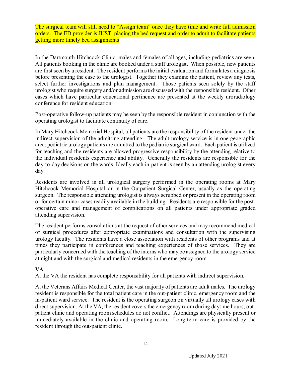The surgical team will still need to "Assign team" once they have time and write full admission orders. The ED provider is JUST placing the bed request and order to admit to facilitate patients getting more timely bed assignments

In the Dartmouth-Hitchcock Clinic, males and females of all ages, including pediatrics are seen. All patients booking in the clinic are booked under a staff urologist. When possible, new patients are first seen by a resident. The resident performs the initial evaluation and formulates a diagnosis before presenting the case to the urologist. Together they examine the patient, review any tests, select further investigations and plan management. Those patients seen solely by the staff urologist who require surgery and/or admission are discussed with the responsible resident. Other cases which have particular educational pertinence are presented at the weekly uroradiology conference for resident education.

Post-operative follow-up patients may be seen by the responsible resident in conjunction with the operating urologist to facilitate continuity of care.

In Mary Hitchcock Memorial Hospital, all patients are the responsibility of the resident under the indirect supervision of the admitting attending. The adult urology service is in one geographic area; pediatric urology patients are admitted to the pediatric surgical ward. Each patient is utilized for teaching and the residents are allowed progressive responsibility by the attending relative to the individual residents experience and ability. Generally the residents are responsible for the day-to-day decisions on the wards. Ideally each in-patient is seen by an attending urologist every day.

Residents are involved in all urological surgery performed in the operating rooms at Mary Hitchcock Memorial Hospital or in the Outpatient Surgical Center, usually as the operating surgeon. The responsible attending urologist is always scrubbed or present in the operating room or for certain minor cases readily available in the building. Residents are responsible for the postoperative care and management of complications on all patients under appropriate graded attending supervision.

The resident performs consultations at the request of other services and may recommend medical or surgical procedures after appropriate examinations and consultation with the supervising urology faculty. The residents have a close association with residents of other programs and at times they participate in conferences and teaching experiences of those services. They are particularly concerned with the teaching of the interns who may be assigned to the urology service at night and with the surgical and medical residents in the emergency room.

#### **VA**

At the VA the resident has complete responsibility for all patients with indirect supervision.

At the Veterans Affairs Medical Center, the vast majority of patients are adult males. The urology resident is responsible for the total patient care in the out-patient clinic, emergency room and the in-patient ward service. The resident is the operating surgeon on virtually all urology cases with direct supervision. At the VA, the resident covers the emergency room during daytime hours; outpatient clinic and operating room schedules do not conflict. Attendings are physically present or immediately available in the clinic and operating room. Long-term care is provided by the resident through the out-patient clinic.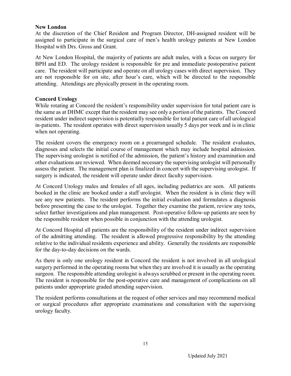#### **New London**

At the discretion of the Chief Resident and Program Director, DH-assigned resident will be assigned to participate in the surgical care of men's health urology patients at New London Hospital with Drs. Gross and Grant.

At New London Hospital, the majority of patients are adult males, with a focus on surgery for BPH and ED. The urology resident is responsible for pre and immediate postoperative patient care. The resident will participate and operate on all urology cases with direct supervision. They are not responsible for on site, after hour's care, which will be directed to the responsible attending. Attendings are physically present in the operating room.

#### **Concord Urology**

While rotating at Concord the resident's responsibility under supervision for total patient care is the same as at DHMC except that the resident may see only a portion of the patients. The Concord resident under indirect supervision is potentially responsible for total patient care of all urological in-patients. The resident operates with direct supervision usually 5 days per week and is in clinic when not operating.

The resident covers the emergency room on a prearranged schedule. The resident evaluates, diagnoses and selects the initial course of management which may include hospital admission. The supervising urologist is notified of the admission, the patient's history and examination and other evaluations are reviewed. When deemed necessary the supervising urologist will personally assess the patient. The management plan is finalized in concert with the supervising urologist. If surgery is indicated, the resident will operate under direct faculty supervision.

At Concord Urology males and females of all ages, including pediatrics are seen. All patients booked in the clinic are booked under a staff urologist. When the resident is in clinic they will see any new patients. The resident performs the initial evaluation and formulates a diagnosis before presenting the case to the urologist. Together they examine the patient, review any tests, select further investigations and plan management. Post-operative follow-up patients are seen by the responsible resident when possible in conjunction with the attending urologist.

At Concord Hospital all patients are the responsibility of the resident under indirect supervision of the admitting attending. The resident is allowed progressive responsibility by the attending relative to the individual residents experience and ability. Generally the residents are responsible for the day-to-day decisions on the wards.

As there is only one urology resident in Concord the resident is not involved in all urological surgery performed in the operating rooms but when they are involved it is usually as the operating surgeon. The responsible attending urologist is always scrubbed or present in the operating room. The resident is responsible for the post-operative care and management of complications on all patients under appropriate graded attending supervision.

The resident performs consultations at the request of other services and may recommend medical or surgical procedures after appropriate examinations and consultation with the supervising urology faculty.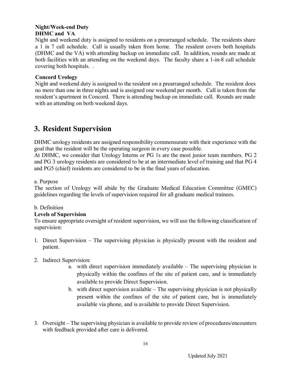#### **Night/Week-end Duty DHMC and VA**

Night and weekend duty is assigned to residents on a prearranged schedule. The residents share a 1 in 7 call schedule. Call is usually taken from home. The resident covers both hospitals (DHMC and the VA) with attending backup on immediate call. In addition, rounds are made at both facilities with an attending on the weekend days. The faculty share a 1-in-8 call schedule covering both hospitals. .

#### **Concord Urology**

Night and weekend duty is assigned to the resident on a prearranged schedule. The resident does no more than one in three nights and is assigned one weekend per month. Call is taken from the resident's apartment in Concord. There is attending backup on immediate call. Rounds are made with an attending on both weekend days.

# **3. Resident Supervision**

DHMC urology residents are assigned responsibility commensurate with their experience with the goal that the resident will be the operating surgeon in every case possible.

At DHMC, we consider that Urology Interns or PG 1s are the most junior team members. PG 2 and PG 3 urology residents are considered to be at an intermediate level of training and that PG 4 and PG5 (chief) residents are considered to be in the final years of education.

#### a. Purpose

The section of Urology will abide by the Graduate Medical Education Committee (GMEC) guidelines regarding the levels of supervision required for all graduate medical trainees.

#### b. Definition

#### **Levels of Supervision**

To ensure appropriate oversight of resident supervision, we will use the following classification of supervision:

1. Direct Supervision – The supervising physician is physically present with the resident and patient.

#### 2. Indirect Supervision:

- a. with direct supervision immediately available The supervising physician is physically within the confines of the site of patient care, and is immediately available to provide Direct Supervision.
- b. with direct supervision available The supervising physician is not physically present within the confines of the site of patient care, but is immediately available via phone, and is available to provide Direct Supervision.
- 3. Oversight The supervising physician is available to provide review of procedures/encounters with feedback provided after care is delivered.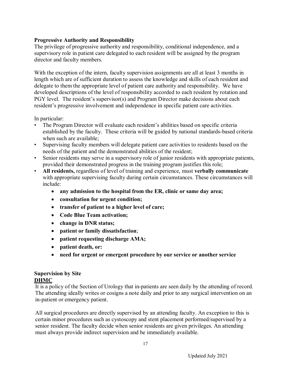#### **Progressive Authority and Responsibility**

The privilege of progressive authority and responsibility, conditional independence, and a supervisory role in patient care delegated to each resident will be assigned by the program director and faculty members.

With the exception of the intern, faculty supervision assignments are all at least 3 months in length which are of sufficient duration to assess the knowledge and skills of each resident and delegate to them the appropriate level of patient care authority and responsibility. We have developed descriptions of the level of responsibility accorded to each resident by rotation and PGY level. The resident's supervisor(s) and Program Director make decisions about each resident's progressive involvement and independence in specific patient care activities.

In particular:

- The Program Director will evaluate each resident's abilities based on specific criteria established by the faculty. These criteria will be guided by national standards-based criteria when such are available;
- Supervising faculty members will delegate patient care activities to residents based on the needs of the patient and the demonstrated abilities of the resident;
- Senior residents may serve in a supervisory role of junior residents with appropriate patients, provided their demonstrated progress in the training program justifies this role;
- **All residents,** regardless of level of training and experience, must **verbally communicate** with appropriate supervising faculty during certain circumstances. These circumstances will include:
	- **any admission to the hospital from the ER, clinic or same day area;**
	- **consultation for urgent condition;**
	- **transfer of patient to a higher level of care;**
	- **Code Blue Team activation;**
	- **change in DNR status;**
	- **patient or family dissatisfaction**;
	- **patient requesting discharge AMA;**
	- **patient death, or:**
	- **need for urgent or emergent procedure by our service or another service**

#### **Supervision by Site DHMC**

It is a policy of the Section of Urology that in-patients are seen daily by the attending of record. The attending ideally writes or cosigns a note daily and prior to any surgical intervention on an in-patient or emergency patient.

All surgical procedures are directly supervised by an attending faculty. An exception to this is certain minor procedures such as cystoscopy and stent placement performed/supervised by a senior resident. The faculty decide when senior residents are given privileges. An attending must always provide indirect supervision and be immediately available.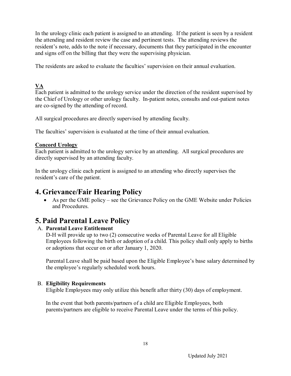In the urology clinic each patient is assigned to an attending. If the patient is seen by a resident the attending and resident review the case and pertinent tests. The attending reviews the resident's note, adds to the note if necessary, documents that they participated in the encounter and signs off on the billing that they were the supervising physician.

The residents are asked to evaluate the faculties' supervision on their annual evaluation.

### **VA**

Each patient is admitted to the urology service under the direction of the resident supervised by the Chief of Urology or other urology faculty. In-patient notes, consults and out-patient notes are co-signed by the attending of record.

All surgical procedures are directly supervised by attending faculty.

The faculties' supervision is evaluated at the time of their annual evaluation.

#### **Concord Urology**

Each patient is admitted to the urology service by an attending. All surgical procedures are directly supervised by an attending faculty.

In the urology clinic each patient is assigned to an attending who directly supervises the resident's care of the patient.

# **4. Grievance/Fair Hearing Policy**

 As per the GME policy – see the Grievance Policy on the GME Website under Policies and Procedures.

# **5. Paid Parental Leave Policy**

#### A. **Parental Leave Entitlement**

D-H will provide up to two (2) consecutive weeks of Parental Leave for all Eligible Employees following the birth or adoption of a child. This policy shall only apply to births or adoptions that occur on or after January 1, 2020.

Parental Leave shall be paid based upon the Eligible Employee's base salary determined by the employee's regularly scheduled work hours.

#### B. **Eligibility Requirements**

Eligible Employees may only utilize this benefit after thirty (30) days of employment.

In the event that both parents/partners of a child are Eligible Employees, both parents/partners are eligible to receive Parental Leave under the terms of this policy.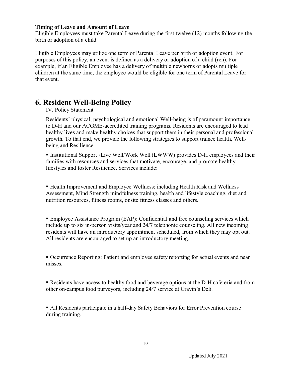#### **Timing of Leave and Amount of Leave**

Eligible Employees must take Parental Leave during the first twelve (12) months following the birth or adoption of a child.

Eligible Employees may utilize one term of Parental Leave per birth or adoption event. For purposes of this policy, an event is defined as a delivery or adoption of a child (ren). For example, if an Eligible Employee has a delivery of multiple newborns or adopts multiple children at the same time, the employee would be eligible for one term of Parental Leave for that event.

# **6. Resident Well-Being Policy**

#### IV. Policy Statement

Residents' physical, psychological and emotional Well-being is of paramount importance to D-H and our ACGME-accredited training programs. Residents are encouraged to lead healthy lives and make healthy choices that support them in their personal and professional growth. To that end, we provide the following strategies to support trainee health, Wellbeing and Resilience:

■ Institutional Support ∘Live Well/Work Well (LWWW) provides D-H employees and their families with resources and services that motivate, encourage, and promote healthy lifestyles and foster Resilience. Services include:

 Health Improvement and Employee Wellness: including Health Risk and Wellness Assessment, Mind Strength mindfulness training, health and lifestyle coaching, diet and nutrition resources, fitness rooms, onsite fitness classes and others.

 Employee Assistance Program (EAP): Confidential and free counseling services which include up to six in-person visits/year and 24/7 telephonic counseling. All new incoming residents will have an introductory appointment scheduled, from which they may opt out. All residents are encouraged to set up an introductory meeting.

 Occurrence Reporting: Patient and employee safety reporting for actual events and near misses.

Residents have access to healthy food and beverage options at the D-H cafeteria and from other on-campus food purveyors, including 24/7 service at Cravin's Deli.

 All Residents participate in a half-day Safety Behaviors for Error Prevention course during training.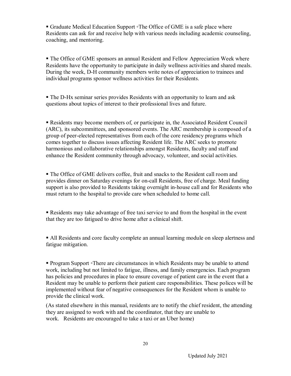■ Graduate Medical Education Support • The Office of GME is a safe place where Residents can ask for and receive help with various needs including academic counseling, coaching, and mentoring.

 The Office of GME sponsors an annual Resident and Fellow Appreciation Week where Residents have the opportunity to participate in daily wellness activities and shared meals. During the week, D-H community members write notes of appreciation to trainees and individual programs sponsor wellness activities for their Residents.

 The D-Hx seminar series provides Residents with an opportunity to learn and ask questions about topics of interest to their professional lives and future.

 Residents may become members of, or participate in, the Associated Resident Council (ARC), its subcommittees, and sponsored events. The ARC membership is composed of a group of peer-elected representatives from each of the core residency programs which comes together to discuss issues affecting Resident life. The ARC seeks to promote harmonious and collaborative relationships amongst Residents, faculty and staff and enhance the Resident community through advocacy, volunteer, and social activities.

 The Office of GME delivers coffee, fruit and snacks to the Resident call room and provides dinner on Saturday evenings for on-call Residents, free of charge. Meal funding support is also provided to Residents taking overnight in-house call and for Residents who must return to the hospital to provide care when scheduled to home call.

 Residents may take advantage of free taxi service to and from the hospital in the event that they are too fatigued to drive home after a clinical shift.

 All Residents and core faculty complete an annual learning module on sleep alertness and fatigue mitigation.

■ Program Support ∘There are circumstances in which Residents may be unable to attend work, including but not limited to fatigue, illness, and family emergencies. Each program has policies and procedures in place to ensure coverage of patient care in the event that a Resident may be unable to perform their patient care responsibilities. These polices will be implemented without fear of negative consequences for the Resident whom is unable to provide the clinical work.

(As stated elsewhere in this manual, residents are to notify the chief resident, the attending they are assigned to work with and the coordinator, that they are unable to work. Residents are encouraged to take a taxi or an Uber home)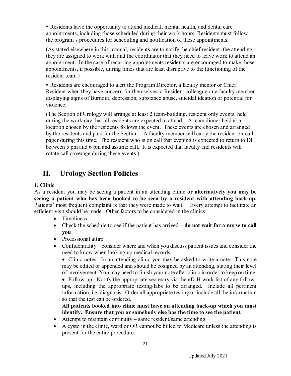Residents have the opportunity to attend medical, mental health, and dental care appointments, including those scheduled during their work hours. Residents must follow the program's procedures for scheduling and notification of these appointments.

(As stated elsewhere in this manual, residents are to notify the chief resident, the attending they are assigned to work with and the coordinator that they need to leave work to attend an appointment. In the case of recurring appointments residents are encouraged to make those appointments, if possible, during times that are least disruptive to the functioning of the resident team.)

 Residents are encouraged to alert the Program Director, a faculty mentor or Chief Resident when they have concern for themselves, a Resident colleague or a faculty member displaying signs of Burnout, depression, substance abuse, suicidal ideation or potential for violence.

(The Section of Urology will arrange at least 2 team-building, resident only events, held during the work day that all residents are expected to attend. A team dinner held at a location chosen by the residents follows the event. These events are chosen and arranged by the residents and paid for the Section. A faculty member will carry the resident on-call pager during this time. The resident who is on call that evening is expected to return to DH between 5 pm and 6 pm and assume call. It is expected that faculty and residents will rotate call coverage during these events.)

# **II. Urology Section Policies**

#### **1. Clinic**

As a resident you may be seeing a patient in an attending clinic **or alternatively you may be seeing a patient who has been booked to be seen by a resident with attending back-up.**  Patients' most frequent complaint is that they were made to wait. Every attempt to facilitate an efficient visit should be made. Other factors to be considered in the clinics:

- Timeliness
- Check the schedule to see if the patient has arrived **do not wait for a nurse to call you**
- Professional attire
- Confidentiality consider where and when you discuss patient issues and consider the need to know when looking up medical records

• Clinic notes. In an attending clinic you may be asked to write a note. This note may be edited or appended and should be cosigned by an attending, stating their level of involvement. You may need to finish your note after clinic in order to keep on time.

 Follow-up. Notify the appropriate secretary via the eD-H work list of any followups, including the appropriate testing/labs to be arranged. Include all pertinent information, i.e. diagnosis. Order all appropriate testing or include all the information so that the test can be ordered.

**All patients booked into clinic must have an attending back-up which you must identify. Ensure that you or somebody else has the time to see the patient.**

- Attempt to maintain continuity same resident/same attending.
- A cysto in the clinic, ward or OR cannot be billed to Medicare unless the attending is present for the entire procedure.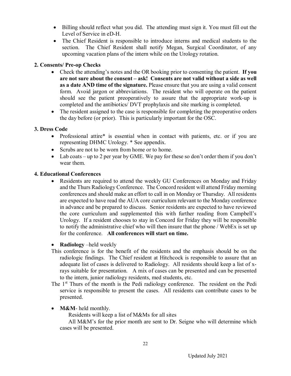- Billing should reflect what you did. The attending must sign it. You must fill out the Level of Service in eD-H.
- The Chief Resident is responsible to introduce interns and medical students to the section. The Chief Resident shall notify Megan, Surgical Coordinator, of any upcoming vacation plans of the intern while on the Urology rotation.

#### **2. Consents/ Pre-op Checks**

- Check the attending's notes and the OR booking prior to consenting the patient. **If you are not sure about the consent – ask! Consents are not valid without a side as well as a date AND time of the signature.** Please ensure that you are using a valid consent form. Avoid jargon or abbreviations. The resident who will operate on the patient should see the patient preoperatively to assure that the appropriate work-up is completed and the antibiotics/ DVT prophylaxis and site marking is completed.
- The resident assigned to the case is responsible for completing the preoperative orders the day before (or prior). This is particularly important for the OSC.

#### **3. Dress Code**

- Professional attire\* is essential when in contact with patients, etc. or if you are representing DHMC Urology. \* See appendix.
- Scrubs are not to be worn from home or to home.
- Lab coats up to 2 per year by GME. We pay for these so don't order them if you don't wear them.

#### **4. Educational Conferences**

 Residents are required to attend the weekly GU Conferences on Monday and Friday and the Thurs Radiology Conference. The Concord resident will attend Friday morning conferences and should make an effort to call in on Monday or Thursday. All residents are expected to have read the AUA core curriculum relevant to the Monday conference in advance and be prepared to discuss. Senior residents are expected to have reviewed the core curriculum and supplemented this with further reading from Campbell's Urology. If a resident chooses to stay in Concord for Friday they will be responsible to notify the administrative chief who will then insure that the phone / WebEx is set up for the conference. **All conferences will start on time.**

#### **•** Radiology –held weekly

- This conference is for the benefit of the residents and the emphasis should be on the radiologic findings. The Chief resident at Hitchcock is responsible to assure that an adequate list of cases is delivered to Radiology. All residents should keep a list of xrays suitable for presentation. A mix of cases can be presented and can be presented to the intern, junior radiology residents, med students, etc.
- The 1<sup>st</sup> Thurs of the month is the Pedi radiology conference. The resident on the Pedi service is responsible to present the cases. All residents can contribute cases to be presented.

#### • **M&M**- held monthly.

Residents will keep a list of M&Ms for all sites

All M&M's for the prior month are sent to Dr. Seigne who will determine which cases will be presented.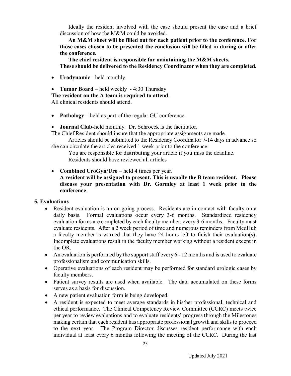Ideally the resident involved with the case should present the case and a brief discussion of how the M&M could be avoided.

**An M&M sheet will be filled out for each patient prior to the conference. For those cases chosen to be presented the conclusion will be filled in during or after the conference.**

**The chief resident is responsible for maintaining the M&M sheets. These should be delivered to the Residency Coordinator when they are completed.**

- **Urodynamic** held monthly.
- **Tumor Board** held weekly 4:30 Thursday
- **The resident on the A team is required to attend**.

All clinical residents should attend.

- **Pathology** held as part of the regular GU conference.
- **Journal Club**-held monthly. Dr. Schroeck is the facilitator.

The Chief Resident should insure that the appropriate assignments are made.

Articles should be submitted to the Residency Coordinator 7-14 days in advance so she can circulate the articles received 1 week prior to the conference.

You are responsible for distributing your article if you miss the deadline. Residents should have reviewed all articles

 **Combined UroGyn/Uro** – held 4 times per year. **A resident will be assigned to present. This is usually the B team resident. Please discuss your presentation with Dr. Gormley at least 1 week prior to the conference**.

#### **5. Evaluations**

- Resident evaluation is an on-going process. Residents are in contact with faculty on a daily basis. Formal evaluations occur every 3-6 months. Standardized residency evaluation forms are completed by each faculty member, every 3-6 months. Faculty must evaluate residents. After a 2 week period of time and numerous reminders from MedHub a faculty member is warned that they have 24 hours left to finish their evaluation(s). Incomplete evaluations result in the faculty member working without a resident except in the OR.
- An evaluation is performed by the support staff every 6 12 months and is used to evaluate professionalism and communication skills.
- Operative evaluations of each resident may be performed for standard urologic cases by faculty members.
- Patient survey results are used when available. The data accumulated on these forms serves as a basis for discussion.
- A new patient evaluation form is being developed.
- A resident is expected to meet average standards in his/her professional, technical and ethical performance. The Clinical Competency Review Committee (CCRC) meets twice per year to review evaluations and to evaluate residents' progress through the Milestones making certain that each resident has appropriate professional growth and skills to proceed to the next year. The Program Director discusses resident performance with each individual at least every 6 months following the meeting of the CCRC. During the last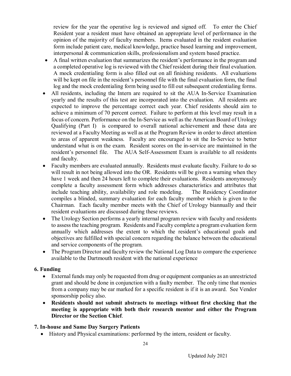review for the year the operative log is reviewed and signed off. To enter the Chief Resident year a resident must have obtained an appropriate level of performance in the opinion of the majority of faculty members. Items evaluated in the resident evaluation form include patient care, medical knowledge, practice based learning and improvement, interpersonal & communication skills, professionalism and system based practice.

- A final written evaluation that summarizes the resident's performance in the program and a completed operative log is reviewed with the Chief resident during their final evaluation. A mock credentialing form is also filled out on all finishing residents. All evaluations will be kept on file in the resident's personnel file with the final evaluation form, the final log and the mock credentialing form being used to fill out subsequent credentialing forms.
- All residents, including the Intern are required to sit the AUA In-Service Examination yearly and the results of this test are incorporated into the evaluation. All residents are expected to improve the percentage correct each year. Chief residents should aim to achieve a minimum of 70 percent correct. Failure to perform at this level may result in a focus of concern. Performance on the In-Service as well as the American Board of Urology Qualifying (Part I) is compared to overall national achievement and these data are reviewed at a Faculty Meeting as well as at the Program Review in order to direct attention to areas of apparent weakness. Faculty are encouraged to sit the In-Service to better understand what is on the exam. Resident scores on the in-service are maintained in the resident's personnel file. The AUA Self-Assessment Exam is available to all residents and faculty.
- Faculty members are evaluated annually. Residents must evaluate faculty. Failure to do so will result in not being allowed into the OR. Residents will be given a warning when they have 1 week and then 24 hours left to complete their evaluations. Residents anonymously complete a faculty assessment form which addresses characteristics and attributes that include teaching ability, availability and role modeling. The Residency Coordinator compiles a blinded, summary evaluation for each faculty member which is given to the Chairman. Each faculty member meets with the Chief of Urology biannually and their resident evaluations are discussed during these reviews.
- The Urology Section performs a yearly internal program review with faculty and residents to assess the teaching program. Residents and Faculty complete a program evaluation form annually which addresses the extent to which the resident's educational goals and objectives are fulfilled with special concern regarding the balance between the educational and service components of the program.
- The Program Director and faculty review the National Log Data to compare the experience available to the Dartmouth resident with the national experience

#### **6. Funding**

- External funds may only be requested from drug or equipment companies as an unrestricted grant and should be done in conjunction with a faulty member. The only time that monies from a company may be ear marked for a specific resident is if it is an award. See Vendor sponsorship policy also.
- **Residents should not submit abstracts to meetings without first checking that the meeting is appropriate with both their research mentor and either the Program Director or the Section Chief**.

#### **7. In-house and Same Day Surgery Patients**

History and Physical examinations: performed by the intern, resident or faculty.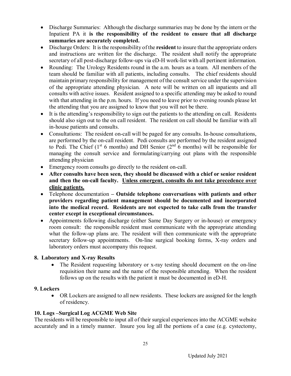- Discharge Summaries: Although the discharge summaries may be done by the intern or the Inpatient PA it **is the responsibility of the resident to ensure that all discharge summaries are accurately completed.**
- Discharge Orders: It is the responsibility of the **resident** to insure that the appropriate orders and instructions are written for the discharge. The resident shall notify the appropriate secretary of all post-discharge follow-ups via eD-H work-list with all pertinent information.
- Rounding: The Urology Residents round in the a.m. hours as a team. All members of the team should be familiar with all patients, including consults. The chief residents should maintain primary responsibility for management of the consult service under the supervision of the appropriate attending physician. A note will be written on all inpatients and all consults with active issues. Resident assigned to a specific attending may be asked to round with that attending in the p.m. hours. If you need to leave prior to evening rounds please let the attending that you are assigned to know that you will not be there.
- It is the attending's responsibility to sign out the patients to the attending on call. Residents should also sign out to the on call resident. The resident on call should be familiar with all in-house patients and consults.
- Consultations: The resident on-call will be paged for any consults. In-house consultations, are performed by the on-call resident. Pedi consults are performed by the resident assigned to Pedi. The Chief ( $1<sup>st</sup>$  6 months) and DH Senior ( $2<sup>nd</sup>$  6 months) will be responsible for managing the consult service and formulating/carrying out plans with the responsible attending physician
- Emergency room consults go directly to the resident on-call.
- **After consults have been seen, they should be discussed with a chief or senior resident and then the on-call faculty. Unless emergent, consults do not take precedence over clinic patients.**
- Telephone documentation **– Outside telephone conversations with patients and other providers regarding patient management should be documented and incorporated into the medical record. Residents are not expected to take calls from the transfer center except in exceptional circumstances.**
- Appointments following discharge (either Same Day Surgery or in-house) or emergency room consult: the responsible resident must communicate with the appropriate attending what the follow-up plans are. The resident will then communicate with the appropriate secretary follow-up appointments. On-line surgical booking forms, X-ray orders and laboratory orders must accompany this request.

# **8. Laboratory and X-ray Results**

 The Resident requesting laboratory or x-ray testing should document on the on-line requisition their name and the name of the responsible attending. When the resident follows up on the results with the patient it must be documented in eD-H.

#### **9. Lockers**

 OR Lockers are assigned to all new residents. These lockers are assigned for the length of residency.

#### **10. Logs –Surgical Log ACGME Web Site**

The residents will be responsible to input all of their surgical experiences into the ACGME website accurately and in a timely manner. Insure you log all the portions of a case (e.g. cystectomy,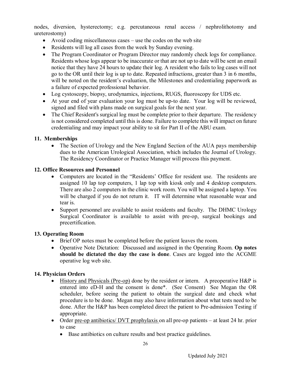nodes, diversion, hysterectomy; e.g. percutaneous renal access / nephrolithotomy and ureterostomy)

- Avoid coding miscellaneous cases use the codes on the web site
- Residents will log all cases from the week by Sunday evening.
- The Program Coordinator or Program Director may randomly check logs for compliance. Residents whose logs appear to be inaccurate or that are not up to date will be sent an email notice that they have 24 hours to update their log. A resident who fails to log cases will not go to the OR until their log is up to date. Repeated infractions, greater than 3 in 6 months, will be noted on the resident's evaluation, the Milestones and credentialing paperwork as a failure of expected professional behavior.
- Log cystoscopy, biopsy, urodynamics, injections, RUGS, fluoroscopy for UDS etc.
- At your end of year evaluation your log must be up-to date. Your log will be reviewed, signed and filed with plans made on surgical goals for the next year.
- The Chief Resident's surgical log must be complete prior to their departure. The residency is not considered completed until this is done. Failure to complete this will impact on future credentialing and may impact your ability to sit for Part II of the ABU exam.

#### **11. Memberships**

• The Section of Urology and the New England Section of the AUA pays membership dues to the American Urological Association, which includes the Journal of Urology. The Residency Coordinator or Practice Manager will process this payment.

#### **12. Office Resources and Personnel**

- Computers are located in the "Residents' Office for resident use. The residents are assigned 10 lap top computers, 1 lap top with kiosk only and 4 desktop computers. There are also 2 computers in the clinic work room. You will be assigned a laptop. You will be charged if you do not return it. IT will determine what reasonable wear and tear is.
- Support personnel are available to assist residents and faculty. The DHMC Urology Surgical Coordinator is available to assist with pre-op, surgical bookings and precertification.

#### **13. Operating Room**

- Brief OP notes must be completed before the patient leaves the room.
- Operative Note Dictation: Discussed and assigned in the Operating Room. **Op notes should be dictated the day the case is done**. Cases are logged into the ACGME operative log web site.

#### **14. Physician Orders**

- History and Physicals (Pre-op) done by the resident or intern. A preoperative H&P is entered into eD-H and the consent is done\*. (See Consent) See Megan the OR scheduler, before seeing the patient to obtain the surgical date and check what procedure is to be done. Megan may also have information about what tests need to be done. After the H&P has been completed direct the patient to Pre-admission Testing if appropriate.
- Order pre-op antibiotics/ DVT prophylaxis on all pre-op patients at least 24 hr. prior to case
	- Base antibiotics on culture results and best practice guidelines.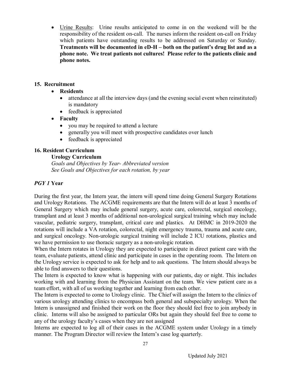Urine Results: Urine results anticipated to come in on the weekend will be the responsibility of the resident on-call. The nurses inform the resident on-call on Friday which patients have outstanding results to be addressed on Saturday or Sunday. **Treatments will be documented in eD-H – both on the patient's drug list and as a phone note. We treat patients not cultures! Please refer to the patients clinic and phone notes.**

#### **15. Recruitment**

#### **Residents**

- attendance at all the interview days (and the evening social event when reinstituted) is mandatory
- feedback is appreciated

#### **Faculty**

- you may be required to attend a lecture
- generally you will meet with prospective candidates over lunch
- feedback is appreciated

#### **16. Resident Curriculum**

#### **Urology Curriculum**

*Goals and Objectives by Year- Abbreviated version See Goals and Objectives for each rotation, by year*

#### *PGY 1* **Year**

During the first year, the Intern year, the intern will spend time doing General Surgery Rotations and Urology Rotations. The ACGME requirements are that the Intern will do at least 3 months of General Surgery which may include general surgery, acute care, colorectal, surgical oncology, transplant and at least 3 months of additional non-urological surgical training which may include vascular, pediatric surgery, transplant, critical care and plastics. At DHMC in 2019-2020 the rotations will include a VA rotation, colorectal, night emergency trauma, trauma and acute care, and surgical oncology. Non-urologic surgical training will include 2 ICU rotations, plastics and we have permission to use thoracic surgery as a non-urologic rotation.

When the Intern rotates in Urology they are expected to participate in direct patient care with the team, evaluate patients, attend clinic and participate in cases in the operating room. The Intern on the Urology service is expected to ask for help and to ask questions. The Intern should always be able to find answers to their questions.

The Intern is expected to know what is happening with our patients, day or night. This includes working with and learning from the Physician Assistant on the team. We view patient care as a team effort, with all of us working together and learning from each other.

The Intern is expected to come to Urology clinic. The Chief will assign the Intern to the clinics of various urology attending clinics to encompass both general and subspecialty urology. When the Intern is unassigned and finished their work on the floor they should feel free to join anybody in clinic. Interns will also be assigned to particular ORs but again they should feel free to come to any of the urology faculty's cases when they are not assigned

Interns are expected to log all of their cases in the ACGME system under Urology in a timely manner. The Program Director will review the Intern's case log quarterly.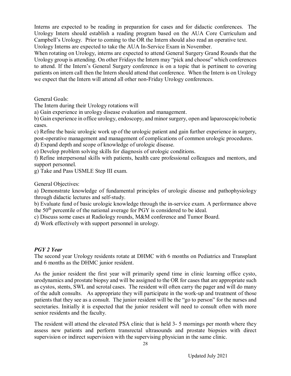Interns are expected to be reading in preparation for cases and for didactic conferences. The Urology Intern should establish a reading program based on the AUA Core Curriculum and Campbell's Urology. Prior to coming to the OR the Intern should also read an operative text. Urology Interns are expected to take the AUA In-Service Exam in November.

When rotating on Urology, interns are expected to attend General Surgery Grand Rounds that the Urology group is attending. On other Fridays the Intern may "pick and choose" which conferences to attend. If the Intern's General Surgery conference is on a topic that is pertinent to covering patients on intern call then the Intern should attend that conference. When the Intern is on Urology we expect that the Intern will attend all other non-Friday Urology conferences.

General Goals:

The Intern during their Urology rotations will

a) Gain experience in urology disease evaluation and management.

b) Gain experience in office urology, endoscopy, and minor surgery, open and laparoscopic/robotic cases.

c) Refine the basic urologic work up of the urologic patient and gain further experience in surgery, post-operative management and management of complications of common urologic procedures.

d) Expand depth and scope of knowledge of urologic disease.

e) Develop problem solving skills for diagnosis of urologic conditions.

f) Refine interpersonal skills with patients, health care professional colleagues and mentors, and support personnel.

g) Take and Pass USMLE Step III exam.

General Objectives:

a) Demonstrate knowledge of fundamental principles of urologic disease and pathophysiology through didactic lectures and self-study.

b) Evaluate fund of basic urologic knowledge through the in-service exam. A performance above the 50th percentile of the national average for PGY is considered to be ideal.

c) Discuss some cases at Radiology rounds, M&M conference and Tumor Board.

d) Work effectively with support personnel in urology.

#### *PGY 2 Year*

The second year Urology residents rotate at DHMC with 6 months on Pediatrics and Transplant and 6 months as the DHMC junior resident.

As the junior resident the first year will primarily spend time in clinic learning office cysto, urodynamics and prostate biopsy and will be assigned to the OR for cases that are appropriate such as cystos, stents, SWL and scrotal cases. The resident will often carry the pager and will do many of the adult consults. As appropriate they will participate in the work-up and treatment of those patients that they see as a consult. The junior resident will be the "go to person" for the nurses and secretaries. Initially it is expected that the junior resident will need to consult often with more senior residents and the faculty.

The resident will attend the elevated PSA clinic that is held 3- 5 mornings per month where they assess new patients and perform transrectal ultrasounds and prostate biopsies with direct supervision or indirect supervision with the supervising physician in the same clinic.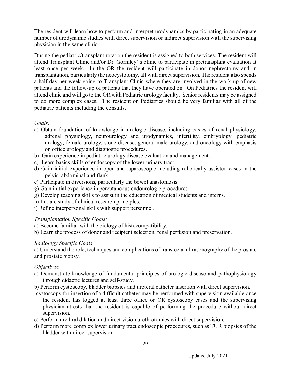The resident will learn how to perform and interpret urodynamics by participating in an adequate number of urodynamic studies with direct supervision or indirect supervision with the supervising physician in the same clinic.

During the pediatric/transplant rotation the resident is assigned to both services. The resident will attend Transplant Clinic and/or Dr. Gormley' s clinic to participate in pretransplant evaluation at least once per week. In the OR the resident will participate in donor nephrectomy and in transplantation, particularly the neocystotomy, all with direct supervision. The resident also spends a half day per week going to Transplant Clinic where they are involved in the work-up of new patients and the follow-up of patients that they have operated on. On Pediatrics the resident will attend clinic and will go to the OR with Pediatric urology faculty. Senior residents may be assigned to do more complex cases. The resident on Pediatrics should be very familiar with all of the pediatric patients including the consults.

*Goals:*

- a) Obtain foundation of knowledge in urologic disease, including basics of renal physiology, adrenal physiology, neurourology and urodynamics, infertility, embryology, pediatric urology, female urology, stone disease, general male urology, and oncology with emphasis on office urology and diagnostic procedures.
- b) Gain experience in pediatric urology disease evaluation and management.
- c) Learn basics skills of endoscopy of the lower urinary tract.
- d) Gain initial experience in open and laparoscopic including robotically assisted cases in the pelvis, abdominal and flank.
- e) Participate in diversions, particularly the bowel anastomosis.
- g) Gain initial experience in percutaneous endourologic procedures.
- g) Develop teaching skills to assist in the education of medical students and interns.
- h) Initiate study of clinical research principles.
- i) Refine interpersonal skills with support personnel.

#### *Transplantation Specific Goals:*

- a) Become familiar with the biology of histocompatibility.
- b) Learn the process of donor and recipient selection, renal perfusion and preservation.

#### *Radiology Specific Goals*:

a) Understand the role, techniques and complications of transrectal ultrasonography of the prostate and prostate biopsy.

#### *Objectives*:

- a) Demonstrate knowledge of fundamental principles of urologic disease and pathophysiology through didactic lectures and self-study.
- b) Perform cystoscopy, bladder biopsies and ureteral catheter insertion with direct supervision.
- -cystoscopy for insertion of a difficult catheter may be performed with supervision available once the resident has logged at least three office or OR cystoscopy cases and the supervising physician attests that the resident is capable of performing the procedure without direct supervision.
- c) Perform urethral dilation and direct vision urethrotomies with direct supervision.
- d) Perform more complex lower urinary tract endoscopic procedures, such as TUR biopsies of the bladder with direct supervision.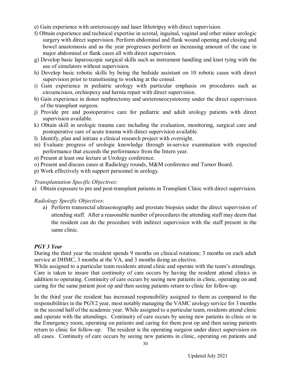- e) Gain experience with ureteroscopy and laser lithotripsy with direct supervision.
- f) Obtain experience and technical expertise in scrotal, inguinal, vaginal and other minor urologic surgery with direct supervision. Perform abdominal and flank wound opening and closing and bowel anastomosis and as the year progresses perform an increasing amount of the case in major abdominal or flank cases all with direct supervision.
- g) Develop basic laparoscopic surgical skills such as instrument handling and knot tying with the use of simulators without supervision.
- h) Develop basic robotic skills by being the bedside assistant on 10 robotic cases with direct supervision prior to transitioning to working at the consul.
- i) Gain experience in pediatric urology with particular emphasis on procedures such as circumcision, orchiopexy and hernia repair with direct supervision.
- b) Gain experience in donor nephrectomy and ureteroneocystotomy under the direct supervision of the transplant surgeon.
- j) Provide pre and postoperative care for pediatric and adult urology patients with direct supervision available.
- k) Obtain skill in urologic trauma care including the evaluation, monitoring, surgical care and postoperative care of acute trauma with direct supervision available.
- l) Identify, plan and initiate a clinical research project with oversight.
- m) Evaluate progress of urologic knowledge through in-service examination with expected performance that exceeds the performance from the Intern year.
- n) Present at least one lecture at Urology conference.
- o) Present and discuss cases at Radiology rounds, M&M conference and Tumor Board.
- p) Work effectively with support personnel in urology.

#### *Transplantation Specific Objectives:*

a) Obtain exposure to pre and post-transplant patients in Transplant Clinic with direct supervision.

#### *Radiology Specific Objectives*:

a) Perform transrectal ultrasonography and prostate biopsies under the direct supervision of attending staff. After a reasonable number of procedures the attending staff may deem that the resident can do the procedure with indirect supervision with the staff present in the same clinic.

#### *PGY 3 Year*

During the third year the resident spends 9 months on clinical rotations; 3 months on each adult service at DHMC, 3 months at the VA, and 3 months doing an elective.

While assigned to a particular team residents attend clinic and operate with the team's attendings. Care is taken to insure that continuity of care occurs by having the resident attend clinics in addition to operating. Continuity of care occurs by seeing new patients in clinic, operating on and caring for the same patient post op and then seeing patients return to clinic for follow-up.

In the third year the resident has increased responsibility assigned to them as compared to the responsibilities in the PGY2 year, most notably managing the VAMC urology service for 3 months in the second half of the academic year. While assigned to a particular team, residents attend clinic and operate with the attendings. Continuity of care occurs by seeing new patients in clinic or in the Emergency room, operating on patients and caring for them post op and then seeing patients return to clinic for follow-up. The resident is the operating surgeon under direct supervision on all cases. Continuity of care occurs by seeing new patients in clinic, operating on patients and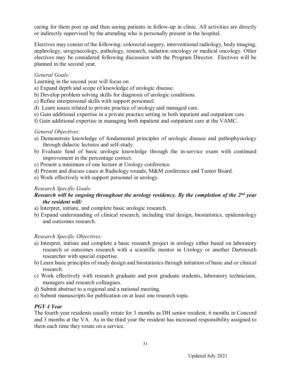caring for them post op and then seeing patients in follow-up in clinic. All activities are directly or indirectly supervised by the attending who is personally present in the hospital.

Electives may consist of the following: colorectal surgery, interventional radiology, body imaging, nephrology, urogynecology, pathology, research, radiation oncology or medical oncology. Other electives may be considered following discussion with the Program Director. Electives will be planned in the second year.

#### *General Goals:*

Learning in the second year will focus on

- a) Expand depth and scope of knowledge of urologic disease.
- b) Develop problem solving skills for diagnosis of urologic conditions.
- c) Refine interpersonal skills with support personnel.
- d) Learn issues related to private practice of urology and managed care.
- e) Gain additional expertise in a private practice setting in both inpatient and outpatient care.
- f) Gain additional expertise in managing both inpatient and outpatient care at the VAMC.

#### *General Objectives*:

- a) Demonstrate knowledge of fundamental principles of urologic disease and pathophysiology through didactic lectures and self-study.
- b) Evaluate fund of basic urologic knowledge through the in-service exam with continued improvement in the percentage correct.
- c) Present a minimum of one lecture at Urology conference.
- d) Present and discuss cases at Radiology rounds, M&M conference and Tumor Board.
- e) Work effectively with support personnel in urology.

#### *Research Specific Goals:*

#### *Research will be ongoing throughout the urology residency. By the completion of the 2nd year the resident will:*

- a) Interpret, initiate, and complete basic urologic research.
- b) Expand understanding of clinical research, including trial design, biostatistics, epidemiology and outcomes research.

#### *Research Specific Objectives:*

- a) Interpret, initiate and complete a basic research project in urology either based on laboratory research or outcomes research with a scientific mentor in Urology or another Dartmouth researcher with special expertise.
- b) Learn basic principles of study design and biostatistics through initiation of basic and or clinical research.
- c) Work effectively with research graduate and post graduate students, laboratory technicians, managers and research colleagues.
- d) Submit abstract to a regional and a national meeting.
- e) Submit manuscripts for publication on at least one research topic.

#### *PGY 4 Year*

The fourth year residents usually rotate for 3 months as DH senior resident, 6 months in Concord and 3 months at the VA. As in the third year the resident has increased responsibility assigned to them each time they rotate on a service.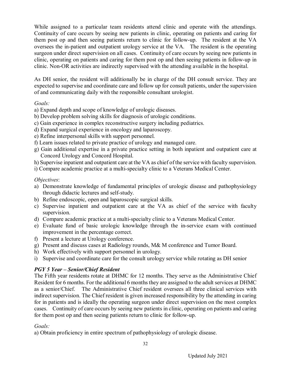While assigned to a particular team residents attend clinic and operate with the attendings. Continuity of care occurs by seeing new patients in clinic, operating on patients and caring for them post op and then seeing patients return to clinic for follow-up. The resident at the VA oversees the in-patient and outpatient urology service at the VA. The resident is the operating surgeon under direct supervision on all cases. Continuity of care occurs by seeing new patients in clinic, operating on patients and caring for them post op and then seeing patients in follow-up in clinic. Non-OR activities are indirectly supervised with the attending available in the hospital.

As DH senior, the resident will additionally be in charge of the DH consult service. They are expected to supervise and coordinate care and follow up for consult patients, under the supervision of and communicating daily with the responsible consultant urologist.

#### *Goals:*

- a) Expand depth and scope of knowledge of urologic diseases.
- b) Develop problem solving skills for diagnosis of urologic conditions.
- c) Gain experience in complex reconstructive surgery including pediatrics.
- d) Expand surgical experience in oncology and laparoscopy.
- e) Refine interpersonal skills with support personnel.
- f) Learn issues related to private practice of urology and managed care.
- g) Gain additional expertise in a private practice setting in both inpatient and outpatient care at Concord Urology and Concord Hospital.
- h) Supervise inpatient and outpatient care at the VA as chief of the service with faculty supervision.
- i) Compare academic practice at a multi-specialty clinic to a Veterans Medical Center.

#### *Objectives*:

- a) Demonstrate knowledge of fundamental principles of urologic disease and pathophysiology through didactic lectures and self-study.
- b) Refine endoscopic, open and laparoscopic surgical skills.
- c) Supervise inpatient and outpatient care at the VA as chief of the service with faculty supervision.
- d) Compare academic practice at a multi-specialty clinic to a Veterans Medical Center.
- e) Evaluate fund of basic urologic knowledge through the in-service exam with continued improvement in the percentage correct.
- f) Present a lecture at Urology conference.
- g) Present and discuss cases at Radiology rounds, M& M conference and Tumor Board.
- h) Work effectively with support personnel in urology.
- i) Supervise and coordinate care for the consult urology service while rotating as DH senior

#### *PGY 5 Year – Senior/Chief Resident*

The Fifth year residents rotate at DHMC for 12 months. They serve as the Administrative Chief Resident for 6 months. For the additional 6 months they are assigned to the adult services at DHMC as a senior/Chief. The Administrative Chief resident oversees all three clinical services with indirect supervision. The Chief resident is given increased responsibility by the attending in caring for in patients and is ideally the operating surgeon under direct supervision on the most complex cases. Continuity of care occurs by seeing new patients in clinic, operating on patients and caring for them post op and then seeing patients return to clinic for follow-up.

#### *Goals:*

a) Obtain proficiency in entire spectrum of pathophysiology of urologic disease.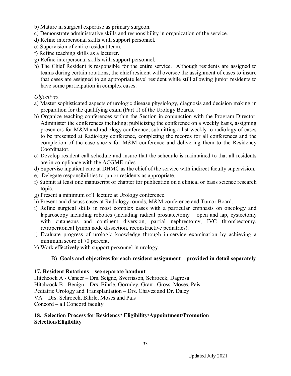- b) Mature in surgical expertise as primary surgeon.
- c) Demonstrate administrative skills and responsibility in organization of the service.
- d) Refine interpersonal skills with support personnel.
- e) Supervision of entire resident team.
- f) Refine teaching skills as a lecturer.
- g) Refine interpersonal skills with support personnel.
- h) The Chief Resident is responsible for the entire service. Although residents are assigned to teams during certain rotations, the chief resident will oversee the assignment of cases to insure that cases are assigned to an appropriate level resident while still allowing junior residents to have some participation in complex cases.

#### *Objectives*:

- a) Master sophisticated aspects of urologic disease physiology, diagnosis and decision making in preparation for the qualifying exam (Part 1) of the Urology Boards.
- b) Organize teaching conferences within the Section in conjunction with the Program Director. Administer the conferences including; publicizing the conference on a weekly basis, assigning presenters for M&M and radiology conference, submitting a list weekly to radiology of cases to be presented at Radiology conference, completing the records for all conferences and the completion of the case sheets for M&M conference and delivering them to the Residency Coordinator.
- c) Develop resident call schedule and insure that the schedule is maintained to that all residents are in compliance with the ACGME rules.
- d) Supervise inpatient care at DHMC as the chief of the service with indirect faculty supervision.
- e) Delegate responsibilities to junior residents as appropriate.
- f) Submit at least one manuscript or chapter for publication on a clinical or basis science research topic.
- g) Present a minimum of 1 lecture at Urology conference.
- h) Present and discuss cases at Radiology rounds, M&M conference and Tumor Board.
- i) Refine surgical skills in most complex cases with a particular emphasis on oncology and laparoscopy including robotics (including radical prostatectomy – open and lap, cystectomy with cutaneous and continent diversion, partial nephrectomy, IVC thrombectomy, retroperitoneal lymph node dissection, reconstructive pediatrics).
- j) Evaluate progress of urologic knowledge through in-service examination by achieving a minimum score of 70 percent.
- k) Work effectively with support personnel in urology.

#### B) **Goals and objectives for each resident assignment – provided in detail separately**

#### **17. Resident Rotations – see separate handout**

Hitchcock A - Cancer – Drs. Seigne, Sverrisson, Schroeck, Dagrosa Hitchcock B - Benign – Drs. Bihrle, Gormley, Grant, Gross, Moses, Pais Pediatric Urology and Transplantation – Drs. Chavez and Dr. Daley VA – Drs. Schroeck, Bihrle, Moses and Pais Concord – all Concord faculty

#### **18. Selection Process for Residency/ Eligibility/Appointment/Promotion Selection/Eligibility**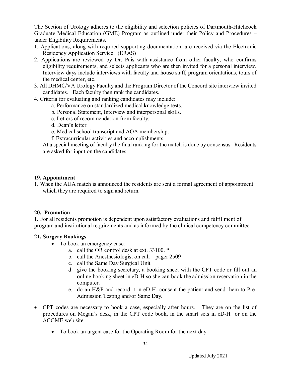The Section of Urology adheres to the eligibility and selection policies of Dartmouth-Hitchcock Graduate Medical Education (GME) Program as outlined under their Policy and Procedures – under Eligibility Requirements.

- 1. Applications, along with required supporting documentation, are received via the Electronic Residency Application Service. (ERAS)
- 2. Applications are reviewed by Dr. Pais with assistance from other faculty, who confirms eligibility requirements, and selects applicants who are then invited for a personal interview. Interview days include interviews with faculty and house staff, program orientations, tours of the medical center, etc.
- 3. All DHMC/VA Urology Faculty and the Program Director of the Concord site interview invited candidates. Each faculty then rank the candidates.
- 4. Criteria for evaluating and ranking candidates may include:
	- a. Performance on standardized medical knowledge tests.
	- b. Personal Statement, Interview and interpersonal skills.
	- c. Letters of recommendation from faculty.
	- d. Dean's letter.
	- e. Medical school transcript and AOA membership.
	- f. Extracurricular activities and accomplishments.

At a special meeting of faculty the final ranking for the match is done by consensus. Residents are asked for input on the candidates.

#### **19. Appointment**

1. When the AUA match is announced the residents are sent a formal agreement of appointment which they are required to sign and return.

#### **20. Promotion**

**1.** For all residents promotion is dependent upon satisfactory evaluations and fulfillment of program and institutional requirements and as informed by the clinical competency committee.

#### **21. Surgery Bookings**

- To book an emergency case:
	- a. call the OR control desk at ext. 33100. \*
	- b. call the Anesthesiologist on call—pager 2509
	- c. call the Same Day Surgical Unit
	- d. give the booking secretary, a booking sheet with the CPT code or fill out an online booking sheet in eD-H so she can book the admission reservation in the computer.
	- e. do an H&P and record it in eD-H, consent the patient and send them to Pre-Admission Testing and/or Same Day.
- CPT codes are necessary to book a case, especially after hours. They are on the list of procedures on Megan's desk, in the CPT code book, in the smart sets in eD-H or on the ACGME web site
	- To book an urgent case for the Operating Room for the next day: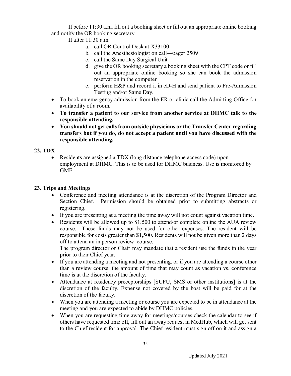If before 11:30 a.m. fill out a booking sheet or fill out an appropriate online booking and notify the OR booking secretary

If after 11:30 a.m.

- a. call OR Control Desk at X33100
- b. call the Anesthesiologist on call—pager 2509
- c. call the Same Day Surgical Unit
- d. give the OR booking secretary a booking sheet with the CPT code or fill out an appropriate online booking so she can book the admission reservation in the computer
- e. perform H&P and record it in eD-H and send patient to Pre-Admission Testing and/or Same Day.
- To book an emergency admission from the ER or clinic call the Admitting Office for availability of a room.
- **To transfer a patient to our service from another service at DHMC talk to the responsible attending.**
- **You should not get calls from outside physicians or the Transfer Center regarding transfers but if you do, do not accept a patient until you have discussed with the responsible attending.**

#### **22. TDX**

 Residents are assigned a TDX (long distance telephone access code) upon employment at DHMC. This is to be used for DHMC business. Use is monitored by GME.

#### **23. Trips and Meetings**

- Conference and meeting attendance is at the discretion of the Program Director and Section Chief. Permission should be obtained prior to submitting abstracts or registering.
- If you are presenting at a meeting the time away will not count against vacation time.
- Residents will be allowed up to \$1,500 to attend/or complete online the AUA review course. These funds may not be used for other expenses. The resident will be responsible for costs greater than \$1,500. Residents will not be given more than 2 days off to attend an in person review course.

The program director or Chair may mandate that a resident use the funds in the year prior to their Chief year.

- If you are attending a meeting and not presenting, or if you are attending a course other than a review course, the amount of time that may count as vacation vs. conference time is at the discretion of the faculty.
- Attendance at residency preceptorships [SUFU, SMS or other institutions] is at the discretion of the faculty. Expense not covered by the host will be paid for at the discretion of the faculty.
- When you are attending a meeting or course you are expected to be in attendance at the meeting and you are expected to abide by DHMC policies.
- When you are requesting time away for meetings/courses check the calendar to see if others have requested time off, fill out an away request in MedHub, which will get sent to the Chief resident for approval. The Chief resident must sign off on it and assign a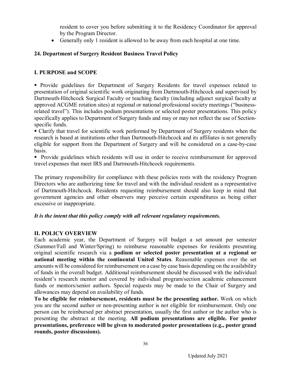resident to cover you before submitting it to the Residency Coordinator for approval by the Program Director.

Generally only 1 resident is allowed to be away from each hospital at one time.

#### **24. Department of Surgery Resident Business Travel Policy**

#### **I. PURPOSE and SCOPE**

**Provide guidelines for Department of Surgery Residents for travel expenses related to** presentation of original scientific work originating from Dartmouth-Hitchcock and supervised by Dartmouth-Hitchcock Surgical Faculty or teaching faculty (including adjunct surgical faculty at approved ACGME rotation sites) at regional or national professional society meetings ("businessrelated travel"). This includes podium presentations or selected poster presentations. This policy specifically applies to Department of Surgery funds and may or may not reflect the use of Sectionspecific funds.

 Clarify that travel for scientific work performed by Department of Surgery residents when the research is based at institutions other than Dartmouth-Hitchcock and its affiliates is not generally eligible for support from the Department of Surgery and will be considered on a case-by-case basis.

 Provide guidelines which residents will use in order to receive reimbursement for approved travel expenses that meet IRS and Dartmouth-Hitchcock requirements.

The primary responsibility for compliance with these policies rests with the residency Program Directors who are authorizing time for travel and with the individual resident as a representative of Dartmouth-Hitchcock. Residents requesting reimbursement should also keep in mind that government agencies and other observers may perceive certain expenditures as being either excessive or inappropriate.

#### *It is the intent that this policy comply with all relevant regulatory requirements.*

#### **II. POLICY OVERVIEW**

Each academic year, the Department of Surgery will budget a set amount per semester (Summer/Fall and Winter/Spring) to reimburse reasonable expenses for residents presenting original scientific research via a **podium or selected poster presentation at a regional or national meeting within the continental United States**. Reasonable expenses over the set amounts will be considered for reimbursement on a case by case basis depending on the availability of funds in the overall budget. Additional reimbursement should be discussed with the individual resident's research mentor and covered by individual program/section academic enhancement funds or mentors/senior authors. Special requests may be made to the Chair of Surgery and allowances may depend on availability of funds.

**To be eligible for reimbursement, residents must be the presenting author.** Work on which you are the second author or non-presenting author is not eligible for reimbursement. Only one person can be reimbursed per abstract presentation, usually the first author or the author who is presenting the abstract at the meeting. **All podium presentations are eligible. For poster presentations, preference will be given to moderated poster presentations (e.g., poster grand rounds, poster discussions).**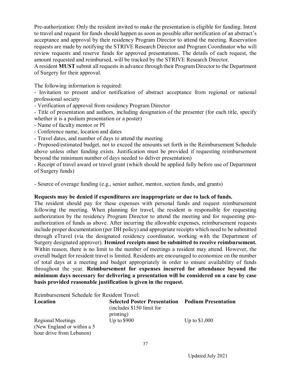Pre-authorization: Only the resident invited to make the presentation is eligible for funding. Intent to travel and request for funds should happen as soon as possible after notification of an abstract's acceptance and approval by their residency Program Director to attend the meeting. Reservation requests are made by notifying the STRIVE Research Director and Program Coordinator who will review requests and reserve funds for approved presentations. The details of each request, the amount requested and reimbursed, will be tracked by the STRIVE Research Director.

A resident **MUST** submit all requests in advance through their Program Director to the Department of Surgery for their approval.

The following information is required:

- Invitation to present and/or notification of abstract acceptance from regional or national professional society

- Verification of approval from residency Program Director

- Title of presentation and authors, including designation of the presenter (for each title, specify whether it is a podium presentation or a poster)

- Name of faculty mentor or PI
- Conference name, location and dates

- Travel dates, and number of days to attend the meeting

- Proposed/estimated budget, not to exceed the amounts set forth in the Reimbursement Schedule above unless other funding exists. Justification must be provided if requesting reimbursement beyond the minimum number of days needed to deliver presentation)

- Receipt of travel award or travel grant (which should be applied fully before use of Department of Surgery funds)

- Source of overage funding (e.g., senior author, mentor, section funds, and grants)

#### **Requests may be denied if expenditures are inappropriate or due to lack of funds.**

The resident should pay for these expenses with personal funds and request reimbursement following the meeting. When planning for travel, the resident is responsible for requesting authorization by the residency Program Director to attend the meeting and for requesting preauthorization of funds as above. After incurring the allowable expenses, reimbursement requests include proper documentation (per DH policy) and appropriate receipts which need to be submitted through eTravel (via the designated residency coordinator, working with the Department of Surgery designated approver). **Itemized receipts must be submitted to receive reimbursement.** Within reason, there is no limit to the number of meetings a resident may attend. However, the overall budget for resident travel is limited. Residents are encouraged to economize on the number of total days at a meeting and budget appropriately in order to ensure availability of funds throughout the year. **Reimbursement for expenses incurred for attendance beyond the minimum days necessary for delivering a presentation will be considered on a case by case basis provided reasonable justification is given in the request.**

Reimbursement Schedule for Resident Travel:

| Location                    | <b>Selected Poster Presentation</b> | <b>Podium Presentation</b> |
|-----------------------------|-------------------------------------|----------------------------|
|                             | (includes \$150 limit for           |                            |
|                             | printing)                           |                            |
| <b>Regional Meetings</b>    | Up to $$900$                        | Up to $$1,000$             |
| (New England or within a 5) |                                     |                            |
| hour drive from Lebanon)    |                                     |                            |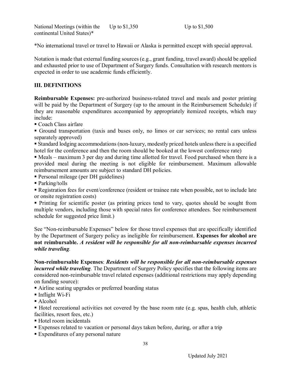National Meetings (within the continental United States)\* Up to \$1,350 Up to \$1,500

\*No international travel or travel to Hawaii or Alaska is permitted except with special approval.

Notation is made that external funding sources (e.g., grant funding, travel award) should be applied and exhausted prior to use of Department of Surgery funds. Consultation with research mentors is expected in order to use academic funds efficiently.

#### **III. DEFINITIONS**

**Reimbursable Expenses:** pre-authorized business-related travel and meals and poster printing will be paid by the Department of Surgery (up to the amount in the Reimbursement Schedule) if they are reasonable expenditures accompanied by appropriately itemized receipts, which may include:

Coach Class airfare

Ground transportation (taxis and buses only, no limos or car services; no rental cars unless separately approved)

 Standard lodging accommodations (non-luxury, modestly priced hotels unless there is a specified hotel for the conference and then the room should be booked at the lowest conference rate)

 Meals – maximum 3 per day and during time allotted for travel. Food purchased when there is a provided meal during the meeting is not eligible for reimbursement. Maximum allowable reimbursement amounts are subject to standard DH policies.

Personal mileage (per DH guidelines)

■ Parking/tolls

 Registration fees for event/conference (resident or trainee rate when possible, not to include late or onsite registration costs)

• Printing for scientific poster (as printing prices tend to vary, quotes should be sought from multiple vendors, including those with special rates for conference attendees. See reimbursement schedule for suggested price limit.)

See "Non-reimbursable Expenses" below for those travel expenses that are specifically identified by the Department of Surgery policy as ineligible for reimbursement. **Expenses for alcohol are not reimbursable.** *A resident will be responsible for all non-reimbursable expenses incurred while traveling.*

**Non-reimbursable Expenses**: *Residents will be responsible for all non-reimbursable expenses incurred while traveling*. The Department of Surgery Policy specifies that the following items are considered non-reimbursable travel related expenses (additional restrictions may apply depending on funding source):

Airline seating upgrades or preferred boarding status

- Inflight Wi-Fi
- Alcohol

 Hotel recreational activities not covered by the base room rate (e.g. spas, health club, athletic facilities, resort fees, etc.)

- Hotel room incidentals
- Expenses related to vacation or personal days taken before, during, or after a trip
- Expenditures of any personal nature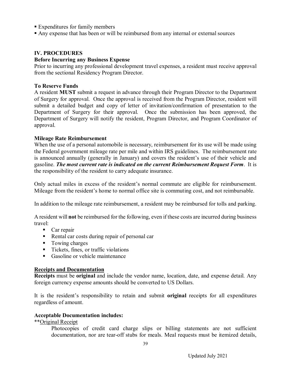- Expenditures for family members
- Any expense that has been or will be reimbursed from any internal or external sources

#### **IV. PROCEDURES**

#### **Before Incurring any Business Expense**

Prior to incurring any professional development travel expenses, a resident must receive approval from the sectional Residency Program Director.

#### **To Reserve Funds**

A resident **MUST** submit a request in advance through their Program Director to the Department of Surgery for approval. Once the approval is received from the Program Director, resident will submit a detailed budget and copy of letter of invitation/confirmation of presentation to the Department of Surgery for their approval. Once the submission has been approved, the Department of Surgery will notify the resident, Program Director, and Program Coordinator of approval.

#### **Mileage Rate Reimbursement**

When the use of a personal automobile is necessary, reimbursement for its use will be made using the Federal government mileage rate per mile and within IRS guidelines. The reimbursement rate is announced annually (generally in January) and covers the resident's use of their vehicle and gasoline. *The most current rate is indicated on the current Reimbursement Request Form*. It is the responsibility of the resident to carry adequate insurance.

Only actual miles in excess of the resident's normal commute are eligible for reimbursement. Mileage from the resident's home to normal office site is commuting cost, and not reimbursable.

In addition to the mileage rate reimbursement, a resident may be reimbursed for tolls and parking.

A resident will **not** be reimbursed for the following, even if these costs are incurred during business travel:

- Car repair
- Rental car costs during repair of personal car
- Towing charges
- Tickets, fines, or traffic violations
- Gasoline or vehicle maintenance

#### **Receipts and Documentation**

**Receipts** must be **original** and include the vendor name, location, date, and expense detail. Any foreign currency expense amounts should be converted to US Dollars.

It is the resident's responsibility to retain and submit **original** receipts for all expenditures regardless of amount.

#### **Acceptable Documentation includes:**

\*\*Original Receipt

Photocopies of credit card charge slips or billing statements are not sufficient documentation, nor are tear-off stubs for meals. Meal requests must be itemized details,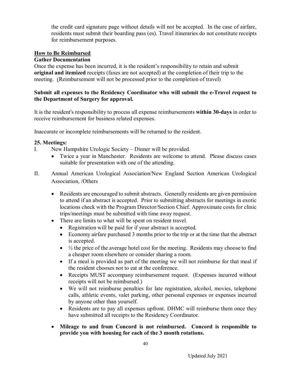the credit card signature page without details will not be accepted. In the case of airfare, residents must submit their boarding pass (es). Travel itineraries do not constitute receipts for reimbursement purposes.

#### **How to Be Reimbursed**

#### **Gather Documentation**

Once the expense has been incurred, it is the resident's responsibility to retain and submit **original and itemized** receipts (faxes are not accepted) at the completion of their trip to the meeting. (Reimbursement will not be processed prior to the completion of travel)

#### **Submit all expenses to the Residency Coordinator who will submit the e-Travel request to the Department of Surgery for approval.**

It is the resident's responsibility to process all expense reimbursements **within 30-days** in order to receive reimbursement for business related expenses.

Inaccurate or incomplete reimbursements will be returned to the resident.

#### **25. Meetings:**

- I. New Hampshire Urologic Society Dinner will be provided.
	- Twice a year in Manchester. Residents are welcome to attend. Please discuss cases suitable for presentation with one of the attending.
- II. Annual American Urological Association/New England Section American Urological Association, /Others
	- Residents are encouraged to submit abstracts. Generally residents are given permission to attend if an abstract is accepted. Prior to submitting abstracts for meetings in exotic locations check with the Program Director/Section Chief. Approximate costs for clinic trips/meetings must be submitted with time away request.
	- There are limits to what will be spent on resident travel.
		- Registration will be paid for if your abstract is accepted.
		- Economy airfare purchased 3 months prior to the trip or at the time that the abstract is accepted.
		- $\bullet$   $\frac{1}{2}$  the price of the average hotel cost for the meeting. Residents may choose to find a cheaper room elsewhere or consider sharing a room.
		- If a meal is provided as part of the meeting we will not reimburse for that meal if the resident chooses not to eat at the conference.
		- Receipts MUST accompany reimbursement request. (Expenses incurred without receipts will not be reimbursed.)
		- We will not reimburse penalties for late registration, alcohol, movies, telephone calls, athletic events, valet parking, other personal expenses or expenses incurred by anyone other than yourself.
		- Residents are to pay all expenses upfront. DHMC will reimburse them once they have submitted all receipts to the Residency Coordinator.
	- **Mileage to and from Concord is not reimbursed. Concord is responsible to provide you with housing for each of the 3 month rotations.**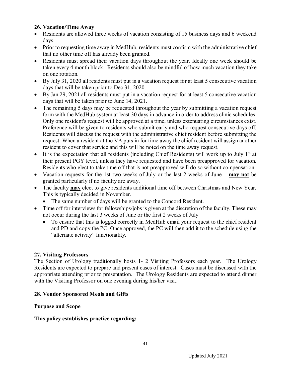#### **26. Vacation/Time Away**

- Residents are allowed three weeks of vacation consisting of 15 business days and 6 weekend days.
- Prior to requesting time away in MedHub, residents must confirm with the administrative chief that no other time off has already been granted.
- Residents must spread their vacation days throughout the year. Ideally one week should be taken every 4 month block. Residents should also be mindful of how much vacation they take on one rotation.
- By July 31, 2020 all residents must put in a vacation request for at least 5 consecutive vacation days that will be taken prior to Dec 31, 2020.
- By Jan 29, 2021 all residents must put in a vacation request for at least 5 consecutive vacation days that will be taken prior to June 14, 2021.
- The remaining 5 days may be requested throughout the year by submitting a vacation request form with the MedHub system at least 30 days in advance in order to address clinic schedules. Only one resident's request will be approved at a time, unless extenuating circumstances exist. Preference will be given to residents who submit early and who request consecutive days off. Residents will discuss the request with the administrative chief resident before submitting the request. When a resident at the VA puts in for time away the chief resident will assign another resident to cover that service and this will be noted on the time away request.
- It is the expectation that all residents (including Chief Residents) will work up to July  $1<sup>st</sup>$  at their present PGY level, unless they have requested and have been preapproved for vacation. Residents who elect to take time off that is not preapproved will do so without compensation.
- Vacation requests for the 1st two weeks of July or the last 2 weeks of June **may not** be granted particularly if no faculty are away.
- The faculty **may** elect to give residents additional time off between Christmas and New Year. This is typically decided in November.
	- The same number of days will be granted to the Concord Resident.
- Time off for interviews for fellowships/jobs is given at the discretion of the faculty. These may not occur during the last 3 weeks of June or the first 2 weeks of July
	- To ensure that this is logged correctly in MedHub email your request to the chief resident and PD and copy the PC. Once approved, the PC will then add it to the schedule using the "alternate activity" functionality.

#### **27. Visiting Professors**

The Section of Urology traditionally hosts 1- 2 Visiting Professors each year. The Urology Residents are expected to prepare and present cases of interest. Cases must be discussed with the appropriate attending prior to presentation. The Urology Residents are expected to attend dinner with the Visiting Professor on one evening during his/her visit.

#### **28. Vendor Sponsored Meals and Gifts**

#### **Purpose and Scope**

#### **This policy establishes practice regarding:**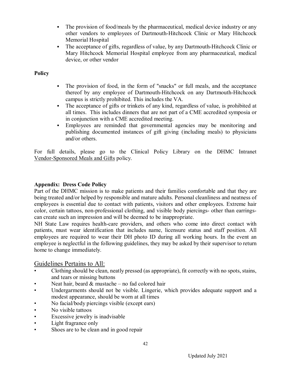- The provision of food/meals by the pharmaceutical, medical device industry or any other vendors to employees of Dartmouth-Hitchcock Clinic or Mary Hitchcock Memorial Hospital
- The acceptance of gifts, regardless of value, by any Dartmouth-Hitchcock Clinic or Mary Hitchcock Memorial Hospital employee from any pharmaceutical, medical device, or other vendor

#### **Policy**

- The provision of food, in the form of "snacks" or full meals, and the acceptance thereof by any employee of Dartmouth-Hitchcock on any Dartmouth-Hitchcock campus is strictly prohibited. This includes the VA.
- The acceptance of gifts or trinkets of any kind, regardless of value, is prohibited at all times. This includes dinners that are not part of a CME accredited symposia or in conjunction with a CME accredited meeting.
- Employees are reminded that governmental agencies may be monitoring and publishing documented instances of gift giving (including meals) to physicians and/or others.

For full details, please go to the Clinical Policy Library on the DHMC Intranet Vendor-Sponsored Meals and Gifts policy.

#### **Appendix: Dress Code Policy**

Part of the DHMC mission is to make patients and their families comfortable and that they are being treated and/or helped by responsible and mature adults. Personal cleanliness and neatness of employees is essential due to contact with patients, visitors and other employees. Extreme hair color, certain tattoos, non-professional clothing, and visible body piercings- other than earringscan create such an impression and will be deemed to be inappropriate.

NH State Law requires health-care providers, and others who come into direct contact with patients, must wear identification that includes name, licensure status and staff position. All employees are required to wear their DH photo ID during all working hours. In the event an employee is neglectful in the following guidelines, they may be asked by their supervisor to return home to change immediately.

#### Guidelines Pertains to All:

- Clothing should be clean, neatly pressed (as appropriate), fit correctly with no spots, stains, and tears or missing buttons
- Neat hair, beard  $&$  mustache no fad colored hair
- Undergarments should not be visible. Lingerie, which provides adequate support and a modest appearance, should be worn at all times
- No facial/body piercings visible (except ears)
- No visible tattoos
- Excessive jewelry is inadvisable
- Light fragrance only
- Shoes are to be clean and in good repair